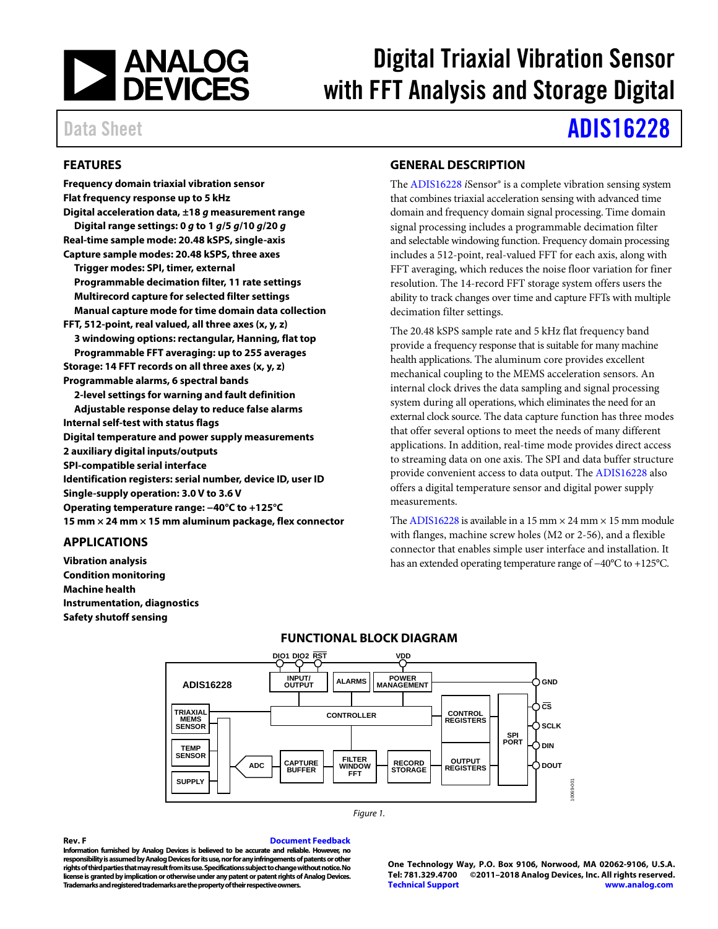

# Digital Triaxial Vibration Sensor with FFT Analysis and Storage Digital

# Data Sheet **[ADIS16228](http://www.analog.com/adis16228?doc=ADIS16228.pdf)**

# <span id="page-0-0"></span>**FEATURES**

**Frequency domain triaxial vibration sensor Flat frequency response up to 5 kHz Digital acceleration data, ±18** *g* **measurement range Digital range settings: 0** *g* **to 1** *g***/5** *g***/10** *g***/20** *g* **Real-time sample mode: 20.48 kSPS, single-axis Capture sample modes: 20.48 kSPS, three axes Trigger modes: SPI, timer, external Programmable decimation filter, 11 rate settings Multirecord capture for selected filter settings Manual capture mode for time domain data collection FFT, 512-point, real valued, all three axes (x, y, z) 3 windowing options: rectangular, Hanning, flat top Programmable FFT averaging: up to 255 averages Storage: 14 FFT records on all three axes (x, y, z) Programmable alarms, 6 spectral bands 2-level settings for warning and fault definition Adjustable response delay to reduce false alarms Internal self-test with status flags Digital temperature and power supply measurements 2 auxiliary digital inputs/outputs SPI-compatible serial interface Identification registers: serial number, device ID, user ID Single-supply operation: 3.0 V to 3.6 V Operating temperature range: −40°C to +125°C 15 mm × 24 mm × 15 mm aluminum package, flex connector**

# <span id="page-0-1"></span>**APPLICATIONS**

<span id="page-0-3"></span>**Vibration analysis Condition monitoring Machine health Instrumentation, diagnostics Safety shutoff sensing**

# <span id="page-0-2"></span>**GENERAL DESCRIPTION**

The [ADIS16228](http://www.analog.com/adis16228?doc=ADIS16228.pdf) *i*Sensor® is a complete vibration sensing system that combines triaxial acceleration sensing with advanced time domain and frequency domain signal processing. Time domain signal processing includes a programmable decimation filter and selectable windowing function. Frequency domain processing includes a 512-point, real-valued FFT for each axis, along with FFT averaging, which reduces the noise floor variation for finer resolution. The 14-record FFT storage system offers users the ability to track changes over time and capture FFTs with multiple decimation filter settings.

The 20.48 kSPS sample rate and 5 kHz flat frequency band provide a frequency response that is suitable for many machine health applications. The aluminum core provides excellent mechanical coupling to the MEMS acceleration sensors. An internal clock drives the data sampling and signal processing system during all operations, which eliminates the need for an external clock source. The data capture function has three modes that offer several options to meet the needs of many different applications. In addition, real-time mode provides direct access to streaming data on one axis. The SPI and data buffer structure provide convenient access to data output. The [ADIS16228](http://www.analog.com/adis16228?doc=ADIS16228.pdf) also offers a digital temperature sensor and digital power supply measurements.

Th[e ADIS16228](http://www.analog.com/adis16228?doc=ADIS16228.pdf) is available in a 15 mm  $\times$  24 mm  $\times$  15 mm module with flanges, machine screw holes (M2 or 2-56), and a flexible connector that enables simple user interface and installation. It has an extended operating temperature range of −40°C to +125°C.



### **FUNCTIONAL BLOCK DIAGRAM**

#### **Rev. F [Document Feedback](https://form.analog.com/Form_Pages/feedback/documentfeedback.aspx?doc=ADIS16228.pdf&product=ADIS16228&rev=F)**

*Figure 1.*

**Information furnished by Analog Devices is believed to be accurate and reliable. However, no responsibility is assumed by Analog Devices for its use, nor for any infringements of patents or other rights of third parties that may result from its use. Specifications subject to change without notice. No license is granted by implication or otherwise under any patent or patent rights of Analog Devices. Trademarks and registered trademarks are the property of their respective owners.**

**One Technology Way, P.O. Box 9106, Norwood, MA 02062-9106, U.S.A. Tel: 781.329.4700 ©2011–2018 Analog Devices, Inc. All rights reserved. [Technical Support](http://www.analog.com/en/content/technical_support_page/fca.html) [www.analog.com](http://www.analog.com/)**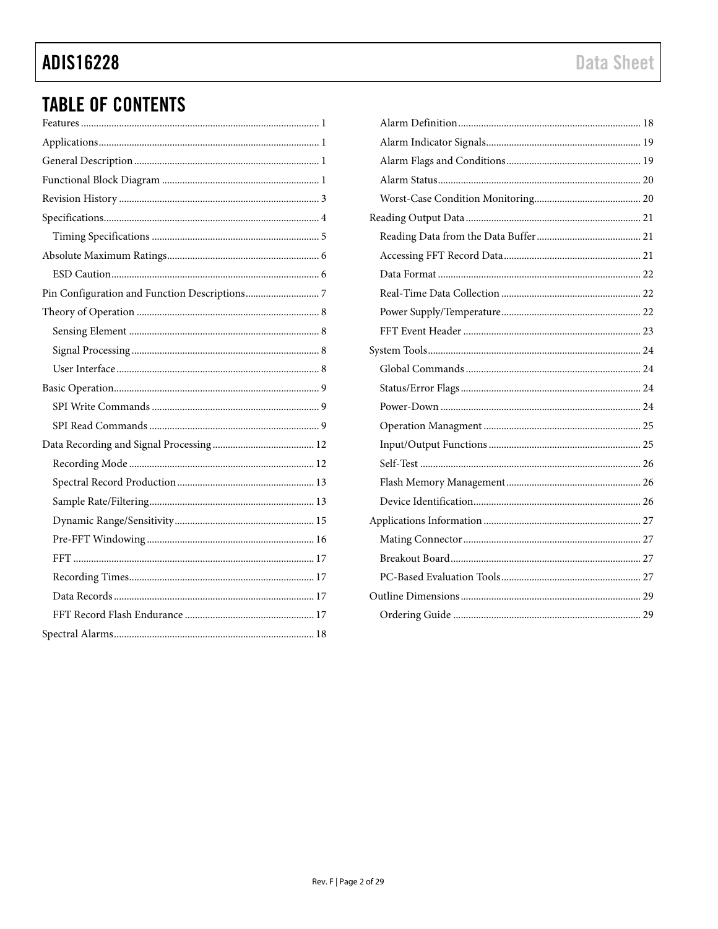# **ADIS16228**

# **TABLE OF CONTENTS**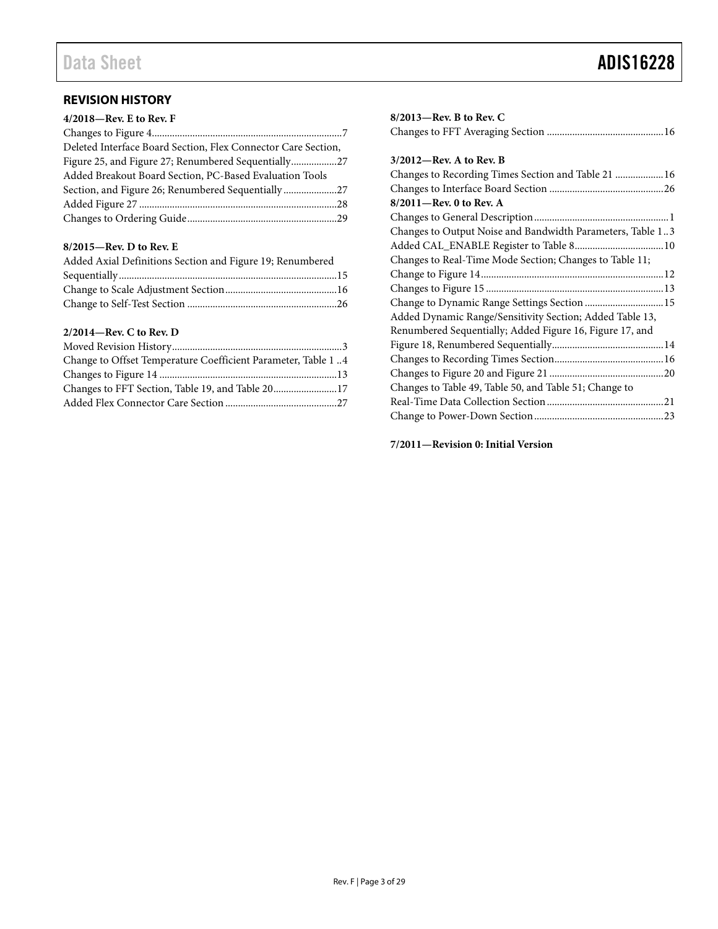# <span id="page-2-0"></span>**REVISION HISTORY**

| 4/2018-Rev. E to Rev. F                                       |  |
|---------------------------------------------------------------|--|
|                                                               |  |
| Deleted Interface Board Section, Flex Connector Care Section, |  |
| Figure 25, and Figure 27; Renumbered Sequentially27           |  |
| Added Breakout Board Section, PC-Based Evaluation Tools       |  |
| Section, and Figure 26; Renumbered Sequentially27             |  |
|                                                               |  |
|                                                               |  |
|                                                               |  |

### **8/2015—Rev. D to Rev. E**

| Added Axial Definitions Section and Figure 19; Renumbered |  |
|-----------------------------------------------------------|--|
|                                                           |  |
|                                                           |  |
|                                                           |  |

### **2/2014—Rev. C to Rev. D**

| Change to Offset Temperature Coefficient Parameter, Table 1.4 |  |
|---------------------------------------------------------------|--|
|                                                               |  |
|                                                               |  |
|                                                               |  |

| $8/2013$ —Rev. B to Rev. C                                 |  |
|------------------------------------------------------------|--|
|                                                            |  |
|                                                            |  |
| $3/2012$ —Rev. A to Rev. B                                 |  |
| Changes to Recording Times Section and Table 21  16        |  |
|                                                            |  |
| 8/2011-Rev. 0 to Rev. A                                    |  |
|                                                            |  |
| Changes to Output Noise and Bandwidth Parameters, Table 13 |  |
|                                                            |  |
| Changes to Real-Time Mode Section; Changes to Table 11;    |  |
|                                                            |  |
|                                                            |  |
| Change to Dynamic Range Settings Section  15               |  |
| Added Dynamic Range/Sensitivity Section; Added Table 13,   |  |
| Renumbered Sequentially; Added Figure 16, Figure 17, and   |  |
|                                                            |  |
|                                                            |  |
|                                                            |  |
| Changes to Table 49, Table 50, and Table 51; Change to     |  |
|                                                            |  |
|                                                            |  |
|                                                            |  |

**7/2011—Revision 0: Initial Version**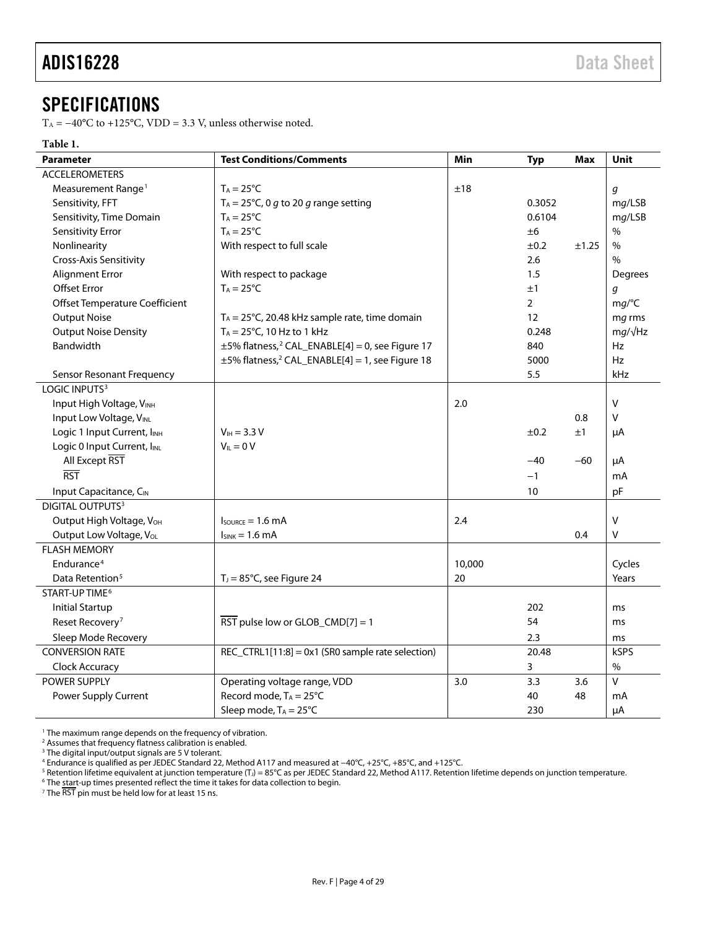# <span id="page-3-0"></span>**SPECIFICATIONS**

T<sub>A</sub> =  $-40^{\circ}$ C to +125°C, VDD = 3.3 V, unless otherwise noted.

#### **Table 1.**

| <b>Parameter</b>                     | <b>Test Conditions/Comments</b>                                  | Min    | <b>Typ</b>     | Max   | Unit           |
|--------------------------------------|------------------------------------------------------------------|--------|----------------|-------|----------------|
| <b>ACCELEROMETERS</b>                |                                                                  |        |                |       |                |
| Measurement Range <sup>1</sup>       | $T_A = 25^{\circ}C$                                              | ±18    |                |       | g              |
| Sensitivity, FFT                     | T <sub>A</sub> = 25°C, 0 g to 20 g range setting                 |        | 0.3052         |       | mg/LSB         |
| Sensitivity, Time Domain             | $T_A = 25^{\circ}C$                                              |        | 0.6104         |       | mg/LSB         |
| Sensitivity Error                    | $T_A = 25^{\circ}C$                                              |        | ±6             |       | $\%$           |
| Nonlinearity                         | With respect to full scale                                       |        | ±0.2           | ±1.25 | $\%$           |
| Cross-Axis Sensitivity               |                                                                  |        | 2.6            |       | $\%$           |
| Alignment Error                      | With respect to package                                          |        | 1.5            |       | Degrees        |
| Offset Error                         | $T_A = 25^{\circ}C$                                              |        | ±1             |       | g              |
| Offset Temperature Coefficient       |                                                                  |        | $\overline{2}$ |       | mg/C           |
| <b>Output Noise</b>                  | $T_A = 25^{\circ}$ C, 20.48 kHz sample rate, time domain         |        | 12             |       | mg rms         |
| <b>Output Noise Density</b>          | $T_A = 25^{\circ}$ C, 10 Hz to 1 kHz                             |        | 0.248          |       | $mg/\sqrt{Hz}$ |
| Bandwidth                            | $\pm$ 5% flatness, <sup>2</sup> CAL_ENABLE[4] = 0, see Figure 17 |        | 840            |       | Hz             |
|                                      | ±5% flatness, <sup>2</sup> CAL_ENABLE[4] = 1, see Figure 18      |        | 5000           |       | <b>Hz</b>      |
| <b>Sensor Resonant Frequency</b>     |                                                                  |        | 5.5            |       | kHz            |
| LOGIC INPUTS <sup>3</sup>            |                                                                  |        |                |       |                |
| Input High Voltage, VINH             |                                                                  | 2.0    |                |       | V              |
| Input Low Voltage, VINL              |                                                                  |        |                | 0.8   | V              |
| Logic 1 Input Current, INH           | $V_{IH} = 3.3 V$                                                 |        | ±0.2           | ±1    | μA             |
| Logic 0 Input Current, IINL          | $V_{IL} = 0 V$                                                   |        |                |       |                |
| All Except RST                       |                                                                  |        | $-40$          | -60   | μA             |
| $\overline{RST}$                     |                                                                  |        | $-1$           |       | mA             |
| Input Capacitance, CIN               |                                                                  |        | 10             |       | pF             |
| DIGITAL OUTPUTS <sup>3</sup>         |                                                                  |        |                |       |                |
| Output High Voltage, V <sub>OH</sub> | $lsource = 1.6 mA$                                               | 2.4    |                |       | $\vee$         |
| Output Low Voltage, VoL              | $I_{SINK} = 1.6 \text{ mA}$                                      |        |                | 0.4   | v              |
| <b>FLASH MEMORY</b>                  |                                                                  |        |                |       |                |
| Endurance <sup>4</sup>               |                                                                  | 10,000 |                |       | Cycles         |
| Data Retention <sup>5</sup>          | $TJ = 85oC$ , see Figure 24                                      | 20     |                |       | Years          |
| START-UP TIME <sup>6</sup>           |                                                                  |        |                |       |                |
| <b>Initial Startup</b>               |                                                                  |        | 202            |       | ms             |
| Reset Recovery <sup>7</sup>          | $\overline{\text{RST}}$ pulse low or GLOB_CMD[7] = 1             |        | 54             |       | ms             |
| Sleep Mode Recovery                  |                                                                  |        | 2.3            |       | ms             |
| <b>CONVERSION RATE</b>               | REC_CTRL1[11:8] = 0x1 (SR0 sample rate selection)                |        | 20.48          |       | <b>kSPS</b>    |
| Clock Accuracy                       |                                                                  |        | 3              |       | %              |
| POWER SUPPLY                         | Operating voltage range, VDD                                     | 3.0    | 3.3            | 3.6   | $\vee$         |
| Power Supply Current                 | Record mode, $T_A = 25^{\circ}C$                                 |        | 40             | 48    | mA             |
|                                      | Sleep mode, $T_A = 25^{\circ}C$                                  |        | 230            |       | μA             |

<sup>1</sup> The maximum range depends on the frequency of vibration.

<sup>2</sup> Assumes that frequency flatness calibration is enabled.

<sup>3</sup> The digital input/output signals are 5 V tolerant.

<sup>4</sup> Endurance is qualified as per JEDEC Standard 22, Method A117 and measured at −40°C, +25°C, +85°C, and +125°C.

<sup>5</sup> Retention lifetime equivalent at junction temperature (T<sub>J</sub>) = 85°C as per JEDEC Standard 22, Method A117. Retention lifetime depends on junction temperature.<br><sup>6</sup> The start-up times presented reflect the time it takes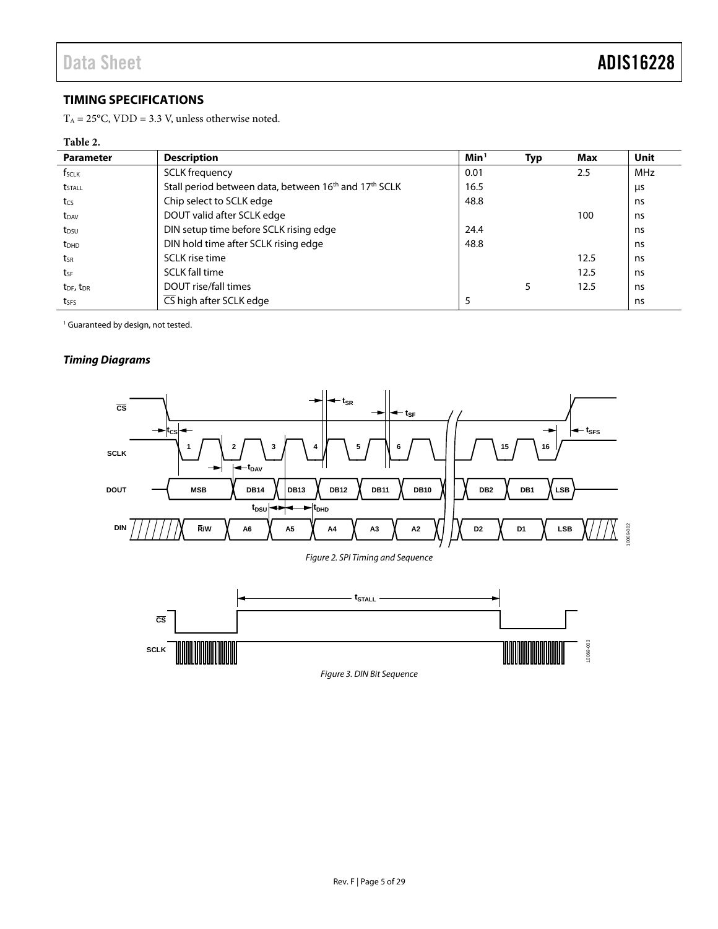10069-003

0069-003

# <span id="page-4-0"></span>**TIMING SPECIFICATIONS**

 $T_A = 25^{\circ}$ C, VDD = 3.3 V, unless otherwise noted.

#### **Table 2.**

| <b>Parameter</b>                  | <b>Description</b>                                                            | Min <sup>1</sup> | <b>Typ</b> | Max  | Unit |
|-----------------------------------|-------------------------------------------------------------------------------|------------------|------------|------|------|
| f <sub>sclk</sub>                 | <b>SCLK</b> frequency                                                         | 0.01             |            | 2.5  | MHz  |
| <b>t</b> <sub>STALL</sub>         | Stall period between data, between 16 <sup>th</sup> and 17 <sup>th</sup> SCLK | 16.5             |            |      | μs   |
| tcs                               | Chip select to SCLK edge                                                      | 48.8             |            |      | ns   |
| t <sub>DAV</sub>                  | DOUT valid after SCLK edge                                                    |                  |            | 100  | ns   |
| t <sub>DSU</sub>                  | DIN setup time before SCLK rising edge                                        | 24.4             |            |      | ns   |
| $t_{DHD}$                         | DIN hold time after SCLK rising edge                                          | 48.8             |            |      | ns   |
| tsr                               | SCLK rise time                                                                |                  |            | 12.5 | ns   |
| tsF                               | <b>SCLK fall time</b>                                                         |                  |            | 12.5 | ns   |
| t <sub>DF</sub> , t <sub>DR</sub> | DOUT rise/fall times                                                          |                  | 5          | 12.5 | ns   |
| tses                              | CS high after SCLK edge                                                       | 5                |            |      | ns   |

<sup>1</sup> Guaranteed by design, not tested.

**SCLK**

### *Timing Diagrams*



*Figure 3. DIN Bit Sequence*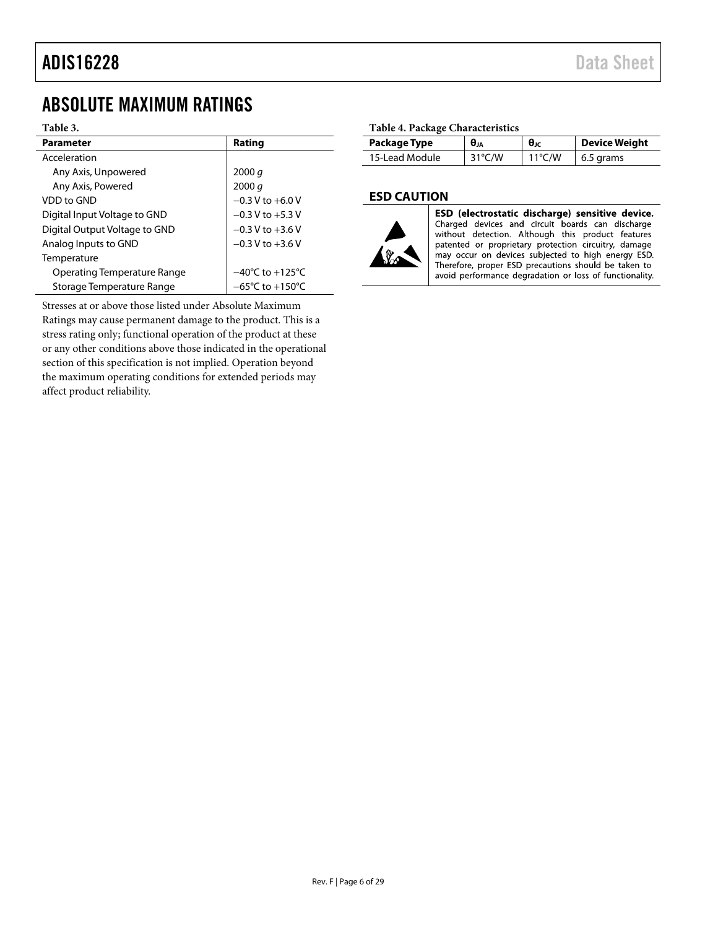# <span id="page-5-0"></span>ABSOLUTE MAXIMUM RATINGS

#### **Table 3.**

| <b>Parameter</b>                   | Rating                              |
|------------------------------------|-------------------------------------|
| Acceleration                       |                                     |
| Any Axis, Unpowered                | 2000 q                              |
| Any Axis, Powered                  | 2000 q                              |
| VDD to GND                         | $-0.3$ V to $+6.0$ V                |
| Digital Input Voltage to GND       | $-0.3$ V to $+5.3$ V                |
| Digital Output Voltage to GND      | $-0.3$ V to $+3.6$ V                |
| Analog Inputs to GND               | $-0.3$ V to $+3.6$ V                |
| Temperature                        |                                     |
| <b>Operating Temperature Range</b> | $-40^{\circ}$ C to $+125^{\circ}$ C |
| Storage Temperature Range          | $-65^{\circ}$ C to $+150^{\circ}$ C |

Stresses at or above those listed under Absolute Maximum Ratings may cause permanent damage to the product. This is a stress rating only; functional operation of the product at these or any other conditions above those indicated in the operational section of this specification is not implied. Operation beyond the maximum operating conditions for extended periods may affect product reliability.

#### **Table 4. Package Characteristics**

| Package Type   | $\theta_{JA}$    | $\theta_{\text{JC}}$ | <b>Device Weight</b> |
|----------------|------------------|----------------------|----------------------|
| 15-Lead Module | $31^{\circ}$ C/W | $11^{\circ}$ C/W     | 6.5 grams            |

#### <span id="page-5-1"></span>**ESD CAUTION**



ESD (electrostatic discharge) sensitive device. Charged devices and circuit boards can discharge without detection. Although this product features patented or proprietary protection circuitry, damage may occur on devices subjected to high energy ESD. Therefore, proper ESD precautions should be taken to avoid performance degradation or loss of functionality.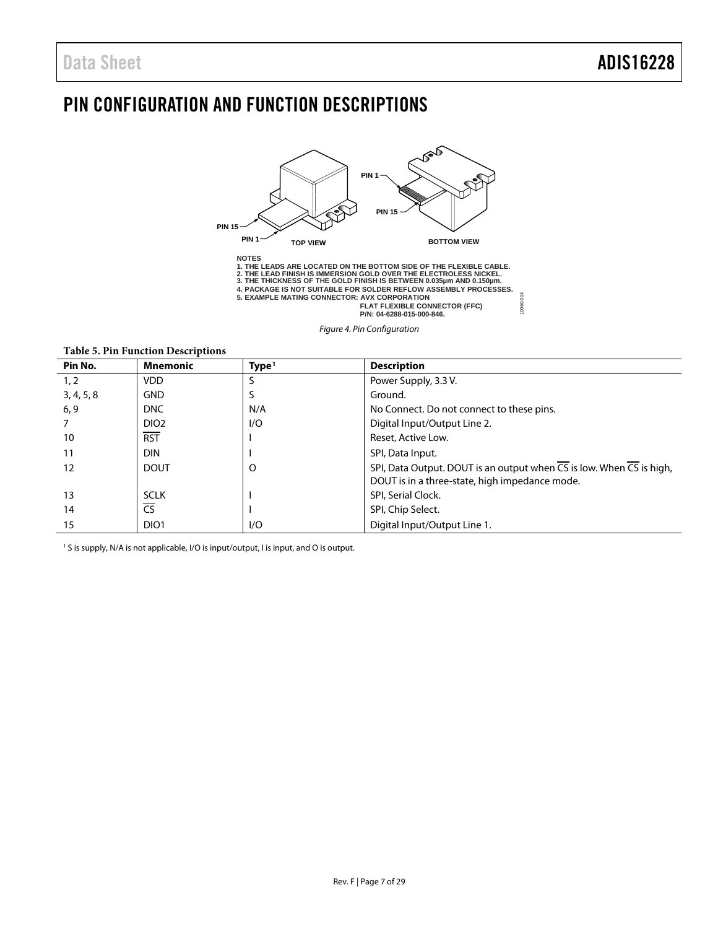# <span id="page-6-0"></span>PIN CONFIGURATION AND FUNCTION DESCRIPTIONS



*Figure 4. Pin Configuration*

**Table 5. Pin Function Descriptions**

| Pin No.    | <b>Mnemonic</b>  | Type <sup>1</sup> | <b>Description</b>                                                                             |
|------------|------------------|-------------------|------------------------------------------------------------------------------------------------|
| 1, 2       | <b>VDD</b>       |                   | Power Supply, 3.3 V.                                                                           |
| 3, 4, 5, 8 | <b>GND</b>       |                   | Ground.                                                                                        |
| 6, 9       | DNC              | N/A               | No Connect. Do not connect to these pins.                                                      |
|            | DIO <sub>2</sub> | 1/O               | Digital Input/Output Line 2.                                                                   |
| 10         | <b>RST</b>       |                   | Reset, Active Low.                                                                             |
| 11         | <b>DIN</b>       |                   | SPI, Data Input.                                                                               |
| 12         | <b>DOUT</b>      | O                 | SPI, Data Output. DOUT is an output when $\overline{CS}$ is low. When $\overline{CS}$ is high, |
|            |                  |                   | DOUT is in a three-state, high impedance mode.                                                 |
| 13         | <b>SCLK</b>      |                   | SPI, Serial Clock.                                                                             |
| 14         | CS               |                   | SPI, Chip Select.                                                                              |
| 15         | DIO <sub>1</sub> | 1/O               | Digital Input/Output Line 1.                                                                   |

<sup>1</sup> S is supply, N/A is not applicable, I/O is input/output, I is input, and O is output.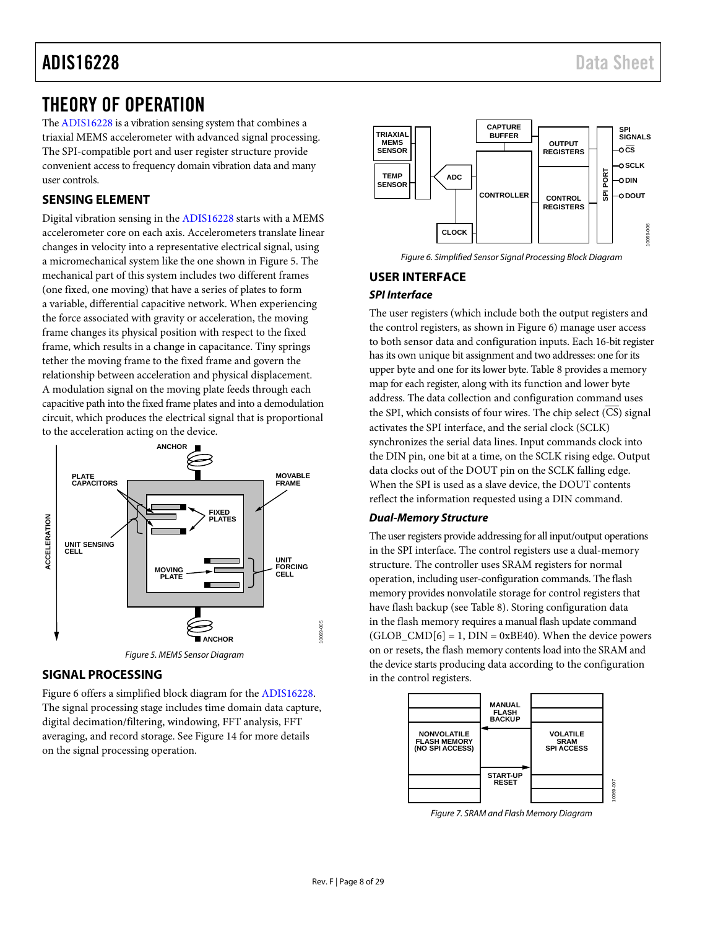# <span id="page-7-0"></span>THEORY OF OPERATION

Th[e ADIS16228](http://www.analog.com/adis16228?doc=ADIS16228.pdf) is a vibration sensing system that combines a triaxial MEMS accelerometer with advanced signal processing. The SPI-compatible port and user register structure provide convenient access to frequency domain vibration data and many user controls.

# <span id="page-7-1"></span>**SENSING ELEMENT**

Digital vibration sensing in th[e ADIS16228](http://www.analog.com/adis16228?doc=ADIS16228.pdf) starts with a MEMS accelerometer core on each axis. Accelerometers translate linear changes in velocity into a representative electrical signal, using a micromechanical system like the one shown i[n Figure 5.](#page-7-4) The mechanical part of this system includes two different frames (one fixed, one moving) that have a series of plates to form a variable, differential capacitive network. When experiencing the force associated with gravity or acceleration, the moving frame changes its physical position with respect to the fixed frame, which results in a change in capacitance. Tiny springs tether the moving frame to the fixed frame and govern the relationship between acceleration and physical displacement. A modulation signal on the moving plate feeds through each capacitive path into the fixed frame plates and into a demodulation circuit, which produces the electrical signal that is proportional to the acceleration acting on the device.



# <span id="page-7-4"></span><span id="page-7-2"></span>**SIGNAL PROCESSING**

[Figure 6](#page-7-5) offers a simplified block diagram for th[e ADIS16228.](http://www.analog.com/adis16228?doc=ADIS16228.pdf) The signal processing stage includes time domain data capture, digital decimation/filtering, windowing, FFT analysis, FFT averaging, and record storage. Se[e Figure 14](#page-13-0) for more details on the signal processing operation.



*Figure 6. Simplified Sensor Signal Processing Block Diagram*

# <span id="page-7-5"></span><span id="page-7-3"></span>**USER INTERFACE** *SPI Interface*

The user registers (which include both the output registers and the control registers, as shown i[n Figure 6\)](#page-7-5) manage user access to both sensor data and configuration inputs. Each 16-bit register has its own unique bit assignment and two addresses: one for its upper byte and one for its lower byte[. Table 8](#page-9-0) provides a memory map for each register, along with its function and lower byte address. The data collection and configuration command uses the SPI, which consists of four wires. The chip select (CS) signal activates the SPI interface, and the serial clock (SCLK) synchronizes the serial data lines. Input commands clock into the DIN pin, one bit at a time, on the SCLK rising edge. Output data clocks out of the DOUT pin on the SCLK falling edge. When the SPI is used as a slave device, the DOUT contents reflect the information requested using a DIN command.

#### *Dual-Memory Structure*

The user registers provide addressing for all input/output operations in the SPI interface. The control registers use a dual-memory structure. The controller uses SRAM registers for normal operation, including user-configuration commands. The flash memory provides nonvolatile storage for control registers that have flash backup (see [Table 8\)](#page-9-0). Storing configuration data in the flash memory requires a manual flash update command  $(GLOB\_CMD[6] = 1, DIN = 0xBE40)$ . When the device powers on or resets, the flash memory contents load into the SRAM and the device starts producing data according to the configuration in the control registers.



*Figure 7. SRAM and Flash Memory Diagram*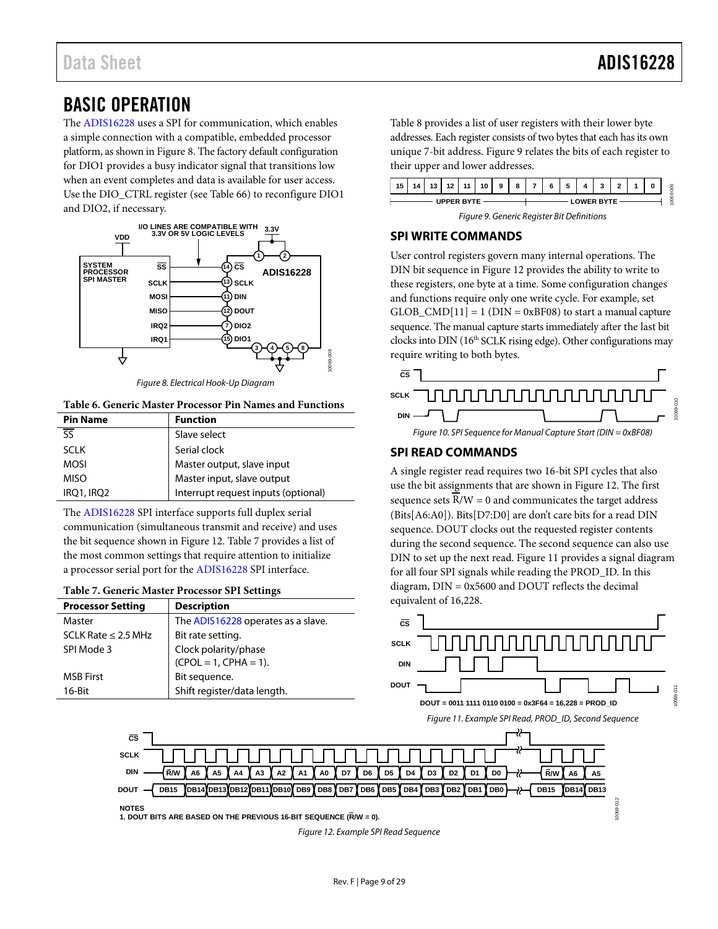# <span id="page-8-0"></span>BASIC OPERATION

The [ADIS16228](http://www.analog.com/adis16228?doc=ADIS16228.pdf) uses a SPI for communication, which enables a simple connection with a compatible, embedded processor platform, as shown in [Figure 8.](#page-8-3) The factory default configuration for DIO1 provides a busy indicator signal that transitions low when an event completes and data is available for user access. Use the DIO\_CTRL register (see [Table 66\)](#page-24-2) to reconfigure DIO1 and DIO2, if necessary.



*Figure 8. Electrical Hook-Up Diagram*

#### <span id="page-8-3"></span>**Table 6. Generic Master Processor Pin Names and Functions**

| <b>Pin Name</b>                   | <b>Function</b>                     |
|-----------------------------------|-------------------------------------|
| $\overline{\overline{\text{SS}}}$ | Slave select                        |
| <b>SCLK</b>                       | Serial clock                        |
| <b>MOSI</b>                       | Master output, slave input          |
| <b>MISO</b>                       | Master input, slave output          |
| IRQ1, IRQ2                        | Interrupt request inputs (optional) |

The [ADIS16228](http://www.analog.com/adis16228?doc=ADIS16228.pdf) SPI interface supports full duplex serial communication (simultaneous transmit and receive) and uses the bit sequence shown in [Figure 12.](#page-8-4) [Table 7](#page-8-5) provides a list of the most common settings that require attention to initialize a processor serial port for the [ADIS16228](http://www.analog.com/adis16228?doc=ADIS16228.pdf) SPI interface.

#### <span id="page-8-5"></span>**Table 7. Generic Master Processor SPI Settings**

| <b>Processor Setting</b> | <b>Description</b>                 |
|--------------------------|------------------------------------|
| Master                   | The ADIS16228 operates as a slave. |
| SCLK Rate $\leq$ 2.5 MHz | Bit rate setting.                  |
| SPI Mode 3               | Clock polarity/phase               |
|                          | $(CPOL = 1, CPHA = 1).$            |
| <b>MSB First</b>         | Bit sequence.                      |
| $16$ -Bit                | Shift register/data length.        |

[Table 8](#page-9-0) provides a list of user registers with their lower byte addresses. Each register consists of two bytes that each has its own unique 7-bit address. [Figure 9](#page-8-6) relates the bits of each register to their upper and lower addresses.



*Figure 9. Generic Register Bit Definitions*

### <span id="page-8-6"></span><span id="page-8-1"></span>**SPI WRITE COMMANDS**

User control registers govern many internal operations. The DIN bit sequence i[n Figure 12](#page-8-4) provides the ability to write to these registers, one byte at a time. Some configuration changes and functions require only one write cycle. For example, set  $GLOB$   $CMD[11] = 1$  ( $DIN = 0xBF08$ ) to start a manual capture sequence. The manual capture starts immediately after the last bit clocks into DIN (16th SCLK rising edge). Other configurations may require writing to both bytes.



# <span id="page-8-2"></span>**SPI READ COMMANDS**

A single register read requires two 16-bit SPI cycles that also use the bit assignments that are shown i[n Figure 12.](#page-8-4) The first sequence sets  $R/W = 0$  and communicates the target address (Bits[A6:A0]). Bits[D7:D0] are don't care bits for a read DIN sequence. DOUT clocks out the requested register contents during the second sequence. The second sequence can also use DIN to set up the next read. [Figure 11](#page-8-7) provides a signal diagram for all four SPI signals while reading the PROD\_ID. In this diagram, DIN = 0x5600 and DOUT reflects the decimal equivalent of 16,228.



**NOTES DOUT**

**CS SCLK DIN**

<span id="page-8-4"></span>**1. DOUT BITS ARE BASED ON THE PREVIOUS 16-BIT SEQUENCE (R/W = 0).**

<span id="page-8-7"></span>*Figure 12. Example SPI Read Sequence*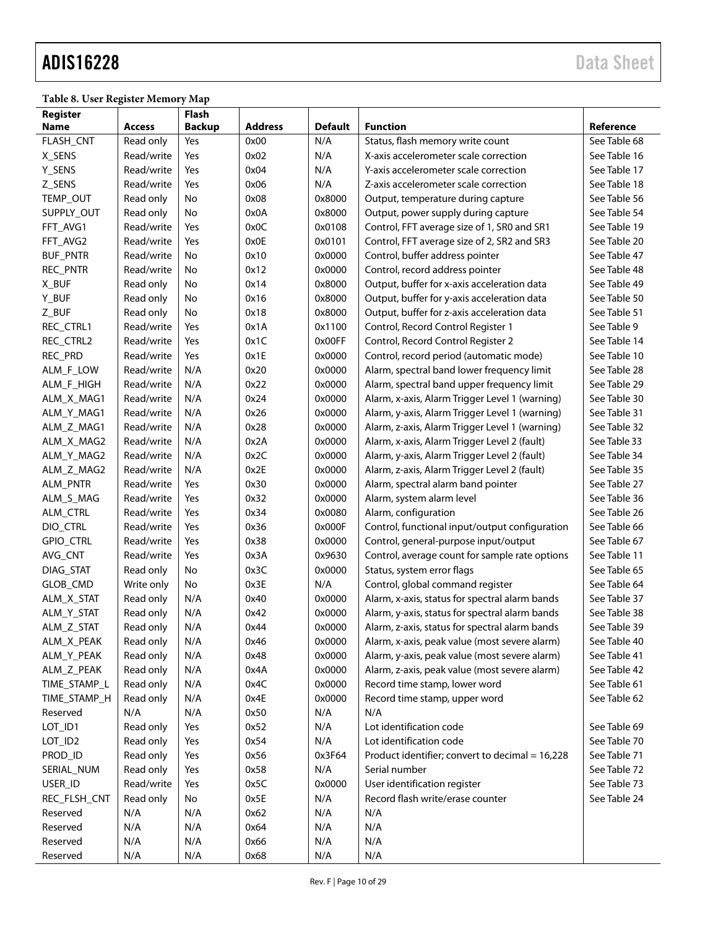# ADIS16228 Data Sheet

<span id="page-9-0"></span>**Table 8. User Register Memory Map**

| Register         |               | Flash         |                |                |                                                 |              |
|------------------|---------------|---------------|----------------|----------------|-------------------------------------------------|--------------|
| Name             | <b>Access</b> | <b>Backup</b> | <b>Address</b> | <b>Default</b> | <b>Function</b>                                 | Reference    |
| FLASH_CNT        | Read only     | Yes           | 0x00           | N/A            | Status, flash memory write count                | See Table 68 |
| X_SENS           | Read/write    | Yes           | 0x02           | N/A            | X-axis accelerometer scale correction           | See Table 16 |
| Y_SENS           | Read/write    | Yes           | 0x04           | N/A            | Y-axis accelerometer scale correction           | See Table 17 |
| Z_SENS           | Read/write    | Yes           | 0x06           | N/A            | Z-axis accelerometer scale correction           | See Table 18 |
| TEMP_OUT         | Read only     | No            | 0x08           | 0x8000         | Output, temperature during capture              | See Table 56 |
| SUPPLY_OUT       | Read only     | No            | 0x0A           | 0x8000         | Output, power supply during capture             | See Table 54 |
| FFT_AVG1         | Read/write    | Yes           | 0x0C           | 0x0108         | Control, FFT average size of 1, SR0 and SR1     | See Table 19 |
| FFT_AVG2         | Read/write    | Yes           | 0x0E           | 0x0101         | Control, FFT average size of 2, SR2 and SR3     | See Table 20 |
| <b>BUF_PNTR</b>  | Read/write    | No            | 0x10           | 0x0000         | Control, buffer address pointer                 | See Table 47 |
| REC_PNTR         | Read/write    | No            | 0x12           | 0x0000         | Control, record address pointer                 | See Table 48 |
| X_BUF            | Read only     | No            | 0x14           | 0x8000         | Output, buffer for x-axis acceleration data     | See Table 49 |
| Y_BUF            | Read only     | No            | 0x16           | 0x8000         | Output, buffer for y-axis acceleration data     | See Table 50 |
| Z_BUF            | Read only     | No            | 0x18           | 0x8000         | Output, buffer for z-axis acceleration data     | See Table 51 |
| REC_CTRL1        | Read/write    | Yes           | 0x1A           | 0x1100         | Control, Record Control Register 1              | See Table 9  |
| REC_CTRL2        | Read/write    | Yes           | 0x1C           | 0x00FF         | Control, Record Control Register 2              | See Table 14 |
| REC_PRD          | Read/write    | Yes           | 0x1E           | 0x0000         | Control, record period (automatic mode)         | See Table 10 |
| ALM_F_LOW        | Read/write    | N/A           | 0x20           | 0x0000         | Alarm, spectral band lower frequency limit      | See Table 28 |
| ALM_F_HIGH       | Read/write    | N/A           | 0x22           | 0x0000         | Alarm, spectral band upper frequency limit      | See Table 29 |
| ALM_X_MAG1       | Read/write    | N/A           | 0x24           | 0x0000         | Alarm, x-axis, Alarm Trigger Level 1 (warning)  | See Table 30 |
| ALM_Y_MAG1       | Read/write    | N/A           | 0x26           | 0x0000         | Alarm, y-axis, Alarm Trigger Level 1 (warning)  | See Table 31 |
| ALM_Z_MAG1       | Read/write    | N/A           | 0x28           | 0x0000         | Alarm, z-axis, Alarm Trigger Level 1 (warning)  | See Table 32 |
| ALM_X_MAG2       | Read/write    | N/A           | 0x2A           | 0x0000         | Alarm, x-axis, Alarm Trigger Level 2 (fault)    | See Table 33 |
| ALM_Y_MAG2       | Read/write    | N/A           | 0x2C           | 0x0000         | Alarm, y-axis, Alarm Trigger Level 2 (fault)    | See Table 34 |
| ALM_Z_MAG2       | Read/write    | N/A           | 0x2E           | 0x0000         | Alarm, z-axis, Alarm Trigger Level 2 (fault)    | See Table 35 |
| ALM_PNTR         | Read/write    | Yes           | 0x30           | 0x0000         | Alarm, spectral alarm band pointer              | See Table 27 |
| ALM_S_MAG        | Read/write    | Yes           | 0x32           | 0x0000         | Alarm, system alarm level                       | See Table 36 |
| ALM_CTRL         | Read/write    | Yes           | 0x34           | 0x0080         | Alarm, configuration                            | See Table 26 |
| DIO_CTRL         | Read/write    | Yes           | 0x36           | 0x000F         | Control, functional input/output configuration  | See Table 66 |
| <b>GPIO_CTRL</b> | Read/write    | Yes           | 0x38           | 0x0000         | Control, general-purpose input/output           | See Table 67 |
| AVG_CNT          | Read/write    | Yes           | 0x3A           | 0x9630         | Control, average count for sample rate options  | See Table 11 |
| DIAG_STAT        | Read only     | No            | 0x3C           | 0x0000         | Status, system error flags                      | See Table 65 |
| GLOB_CMD         | Write only    | No            | 0x3E           | N/A            | Control, global command register                | See Table 64 |
| ALM_X_STAT       | Read only     | N/A           | 0x40           | 0x0000         | Alarm, x-axis, status for spectral alarm bands  | See Table 37 |
| ALM_Y_STAT       | Read only     | N/A           | 0x42           | 0x0000         | Alarm, y-axis, status for spectral alarm bands  | See Table 38 |
| ALM_Z_STAT       | Read only     | N/A           | 0x44           | 0x0000         | Alarm, z-axis, status for spectral alarm bands  | See Table 39 |
| ALM_X_PEAK       | Read only     | N/A           | 0x46           | 0x0000         | Alarm, x-axis, peak value (most severe alarm)   | See Table 40 |
| ALM_Y_PEAK       | Read only     | N/A           | 0x48           | 0x0000         | Alarm, y-axis, peak value (most severe alarm)   | See Table 41 |
| ALM_Z_PEAK       | Read only     | N/A           | 0x4A           | 0x0000         | Alarm, z-axis, peak value (most severe alarm)   | See Table 42 |
| TIME_STAMP_L     | Read only     | N/A           | 0x4C           | 0x0000         | Record time stamp, lower word                   | See Table 61 |
| TIME_STAMP_H     | Read only     | N/A           | 0x4E           | 0x0000         | Record time stamp, upper word                   | See Table 62 |
| Reserved         | N/A           | N/A           | 0x50           | N/A            | N/A                                             |              |
| LOT_ID1          | Read only     | Yes           | 0x52           | N/A            | Lot identification code                         | See Table 69 |
| LOT_ID2          | Read only     | Yes           | 0x54           | N/A            | Lot identification code                         | See Table 70 |
| PROD_ID          | Read only     | Yes           | 0x56           | 0x3F64         | Product identifier; convert to decimal = 16,228 | See Table 71 |
| SERIAL_NUM       | Read only     | Yes           | 0x58           | N/A            | Serial number                                   | See Table 72 |
| USER_ID          | Read/write    | Yes           | 0x5C           | 0x0000         | User identification register                    | See Table 73 |
| REC_FLSH_CNT     | Read only     | No            | 0x5E           | N/A            | Record flash write/erase counter                | See Table 24 |
| Reserved         | N/A           | N/A           | 0x62           | N/A            | N/A                                             |              |
| Reserved         | N/A           | N/A           | 0x64           | N/A            | N/A                                             |              |
| Reserved         | N/A           | N/A           | 0x66           | N/A            | N/A                                             |              |
| Reserved         | N/A           | N/A           | 0x68           | N/A            | N/A                                             |              |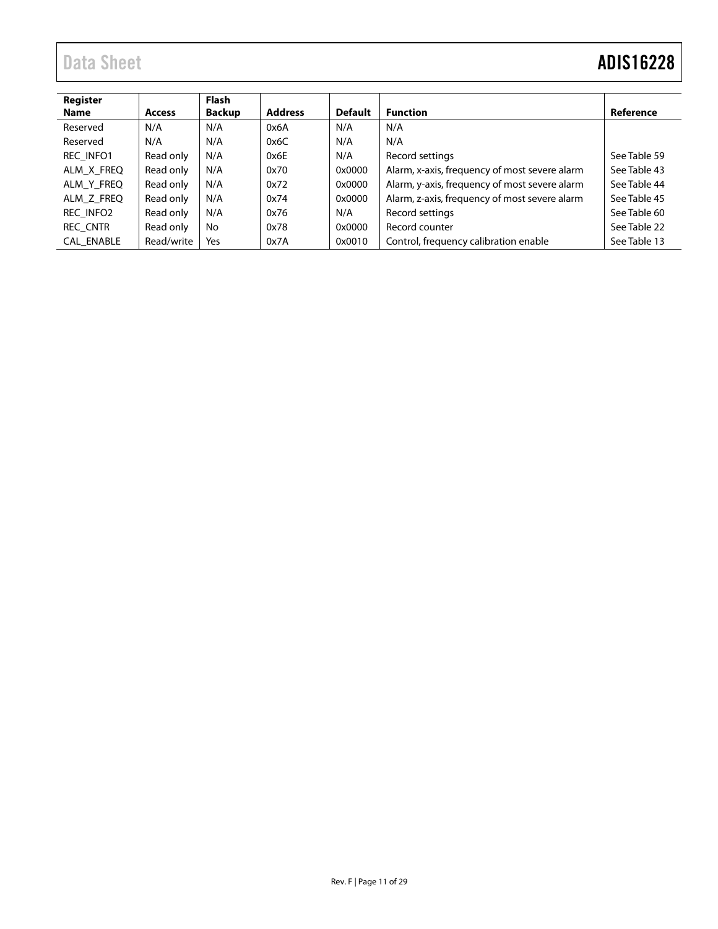# Data Sheet **ADIS16228**

| Register<br><b>Name</b> | <b>Access</b> | <b>Flash</b><br><b>Backup</b> | <b>Address</b> | <b>Default</b> | <b>Function</b>                               | Reference    |
|-------------------------|---------------|-------------------------------|----------------|----------------|-----------------------------------------------|--------------|
| Reserved                | N/A           | N/A                           | 0x6A           | N/A            | N/A                                           |              |
| Reserved                | N/A           | N/A                           | 0x6C           | N/A            | N/A                                           |              |
| <b>REC INFO1</b>        | Read only     | N/A                           | 0x6E           | N/A            | Record settings                               | See Table 59 |
| ALM X FREQ              | Read only     | N/A                           | 0x70           | 0x0000         | Alarm, x-axis, frequency of most severe alarm | See Table 43 |
| ALM Y FREQ              | Read only     | N/A                           | 0x72           | 0x0000         | Alarm, y-axis, frequency of most severe alarm | See Table 44 |
| ALM Z FREQ              | Read only     | N/A                           | 0x74           | 0x0000         | Alarm, z-axis, frequency of most severe alarm | See Table 45 |
| REC INFO2               | Read only     | N/A                           | 0x76           | N/A            | Record settings                               | See Table 60 |
| REC CNTR                | Read only     | No                            | 0x78           | 0x0000         | Record counter                                | See Table 22 |
| <b>CAL ENABLE</b>       | Read/write    | Yes                           | 0x7A           | 0x0010         | Control, frequency calibration enable         | See Table 13 |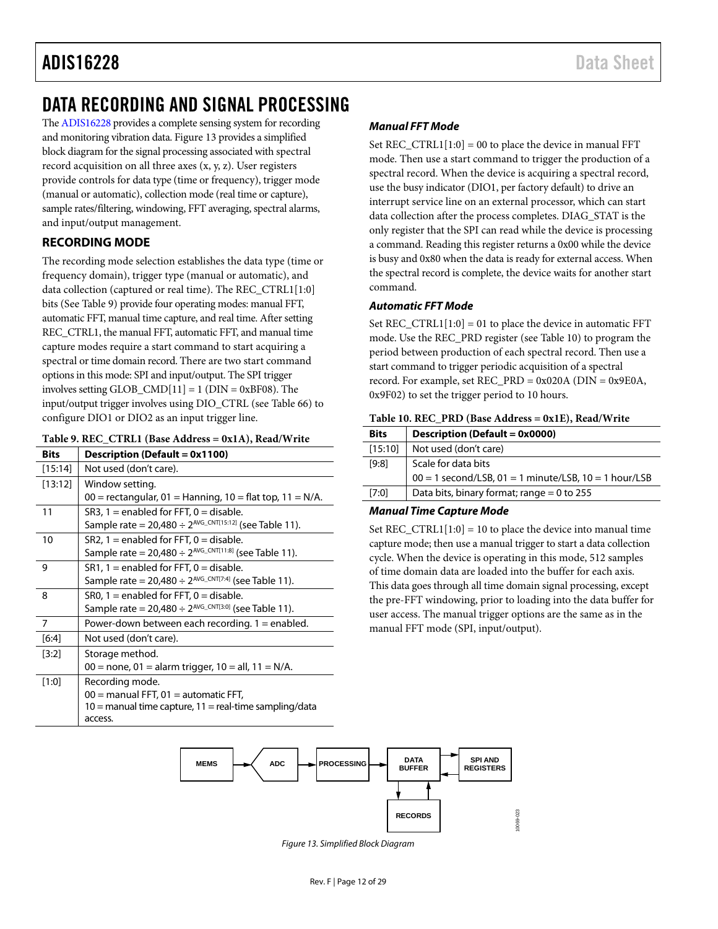# ADIS16228 Data Sheet

# <span id="page-11-0"></span>DATA RECORDING AND SIGNAL PROCESSING

Th[e ADIS16228](http://www.analog.com/adis16228?doc=ADIS16228.pdf) provides a complete sensing system for recording and monitoring vibration data. [Figure 13](#page-11-4) provides a simplified block diagram for the signal processing associated with spectral record acquisition on all three axes (x, y, z). User registers provide controls for data type (time or frequency), trigger mode (manual or automatic), collection mode (real time or capture), sample rates/filtering, windowing, FFT averaging, spectral alarms, and input/output management.

# <span id="page-11-1"></span>**RECORDING MODE**

The recording mode selection establishes the data type (time or frequency domain), trigger type (manual or automatic), and data collection (captured or real time). The REC\_CTRL1[1:0] bits (See [Table 9\)](#page-11-2) provide four operating modes: manual FFT, automatic FFT, manual time capture, and real time. After setting REC\_CTRL1, the manual FFT, automatic FFT, and manual time capture modes require a start command to start acquiring a spectral or time domain record. There are two start command options in this mode: SPI and input/output. The SPI trigger involves setting GLOB\_CMD $[11] = 1$  (DIN = 0xBF08). The input/output trigger involves using DIO\_CTRL (se[e Table 66\)](#page-24-2) to configure DIO1 or DIO2 as an input trigger line.

#### <span id="page-11-2"></span>**Table 9. REC\_CTRL1 (Base Address = 0x1A), Read/Write**

| <b>Bits</b> | <b>Description (Default = 0x1100)</b>                            |
|-------------|------------------------------------------------------------------|
| [15:14]     | Not used (don't care).                                           |
| [13:12]     | Window setting.                                                  |
|             | $00 =$ rectangular, 01 = Hanning, 10 = flat top, 11 = N/A.       |
| 11          | SR3, $1 =$ enabled for FFT, $0 =$ disable.                       |
|             | Sample rate = $20,480 \div 2^{AVG_C(N)T[15:12]}$ (see Table 11). |
| 10          | $SR2$ , 1 = enabled for FFT, 0 = disable.                        |
|             | Sample rate = $20,480 \div 2^{AVG_C(NT[11:8])}$ (see Table 11).  |
| 9           | $SR1, 1 =$ enabled for FFT, $0 =$ disable.                       |
|             | Sample rate = $20,480 \div 2^{AVG_C(NT[7:4])}$ (see Table 11).   |
| 8           | SRO, $1 =$ enabled for FFT, $0 =$ disable.                       |
|             | Sample rate = $20,480 \div 2^{AVG_C(NT[3:0])}$ (see Table 11).   |
| 7           | Power-down between each recording. $1 =$ enabled.                |
| $[6:4]$     | Not used (don't care).                                           |
| [3:2]       | Storage method.                                                  |
|             | $00 =$ none, 01 = alarm trigger, 10 = all, 11 = N/A.             |
| [1:0]       | Recording mode.                                                  |
|             | $00 =$ manual FFT, $01 =$ automatic FFT,                         |
|             | $10 =$ manual time capture, $11 =$ real-time sampling/data       |
|             | access.                                                          |

### *Manual FFT Mode*

Set  $REC_CTRL1[1:0] = 00$  to place the device in manual FFT mode. Then use a start command to trigger the production of a spectral record. When the device is acquiring a spectral record, use the busy indicator (DIO1, per factory default) to drive an interrupt service line on an external processor, which can start data collection after the process completes. DIAG\_STAT is the only register that the SPI can read while the device is processing a command. Reading this register returns a 0x00 while the device is busy and 0x80 when the data is ready for external access. When the spectral record is complete, the device waits for another start command.

#### *Automatic FFT Mode*

Set  $REC_CTRL1[1:0] = 01$  to place the device in automatic FFT mode. Use the REC\_PRD register (see [Table 10\)](#page-11-3) to program the period between production of each spectral record. Then use a start command to trigger periodic acquisition of a spectral record. For example, set REC\_PRD = 0x020A (DIN = 0x9E0A, 0x9F02) to set the trigger period to 10 hours.

<span id="page-11-3"></span>

| <b>Bits</b> | Description (Default = 0x0000)                              |
|-------------|-------------------------------------------------------------|
| [15:10]     | Not used (don't care)                                       |
| [9:8]       | Scale for data bits                                         |
|             | $00 = 1$ second/LSB, $01 = 1$ minute/LSB, $10 = 1$ hour/LSB |
| [7:0]       | Data bits, binary format; range $= 0$ to 255                |

#### *Manual Time Capture Mode*

Set  $REC_CTRL1[1:0] = 10$  to place the device into manual time capture mode; then use a manual trigger to start a data collection cycle. When the device is operating in this mode, 512 samples of time domain data are loaded into the buffer for each axis. This data goes through all time domain signal processing, except the pre-FFT windowing, prior to loading into the data buffer for user access. The manual trigger options are the same as in the manual FFT mode (SPI, input/output).

<span id="page-11-4"></span>

*Figure 13. Simplified Block Diagram*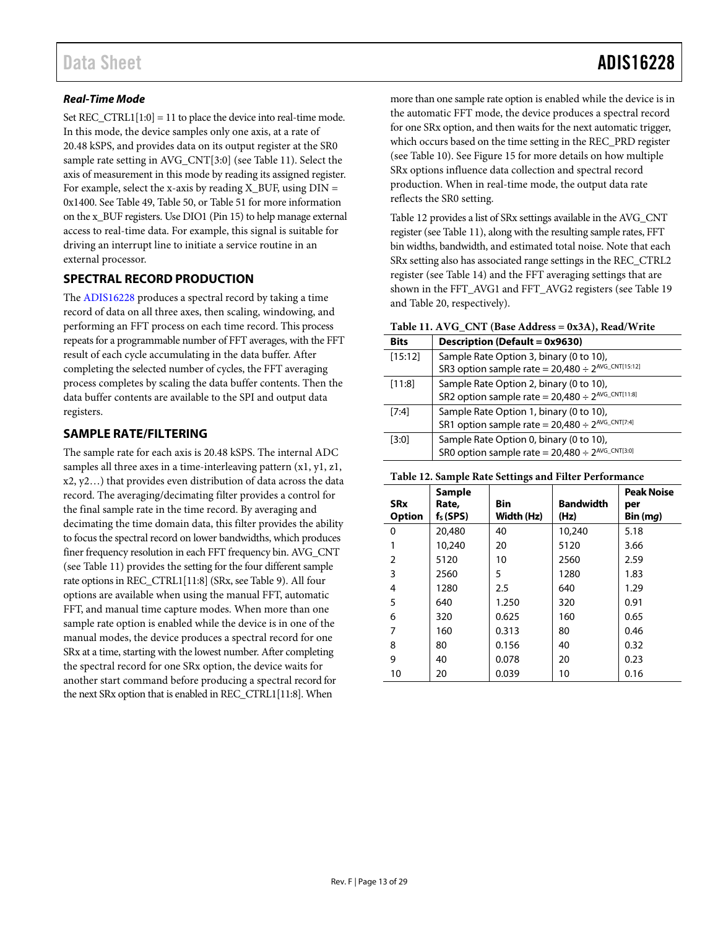# *Real-Time Mode*

Set REC\_CTRL1 $[1:0] = 11$  to place the device into real-time mode. In this mode, the device samples only one axis, at a rate of 20.48 kSPS, and provides data on its output register at the SR0 sample rate setting in AVG\_CNT[3:0] (se[e Table 11\)](#page-12-2). Select the axis of measurement in this mode by reading its assigned register. For example, select the x-axis by reading  $X_BUF$ , using  $DIN =$ 0x1400. Se[e Table 49,](#page-21-5) [Table 50,](#page-21-6) o[r Table 51](#page-21-7) for more information on the x\_BUF registers. Use DIO1 (Pin 15) to help manage external access to real-time data. For example, this signal is suitable for driving an interrupt line to initiate a service routine in an external processor.

# <span id="page-12-0"></span>**SPECTRAL RECORD PRODUCTION**

The [ADIS16228](http://www.analog.com/adis16228?doc=ADIS16228.pdf) produces a spectral record by taking a time record of data on all three axes, then scaling, windowing, and performing an FFT process on each time record. This process repeats for a programmable number of FFT averages, with the FFT result of each cycle accumulating in the data buffer. After completing the selected number of cycles, the FFT averaging process completes by scaling the data buffer contents. Then the data buffer contents are available to the SPI and output data registers.

### <span id="page-12-1"></span>**SAMPLE RATE/FILTERING**

The sample rate for each axis is 20.48 kSPS. The internal ADC samples all three axes in a time-interleaving pattern (x1, y1, z1, x2, y2…) that provides even distribution of data across the data record. The averaging/decimating filter provides a control for the final sample rate in the time record. By averaging and decimating the time domain data, this filter provides the ability to focus the spectral record on lower bandwidths, which produces finer frequency resolution in each FFT frequency bin. AVG\_CNT (see [Table 11\)](#page-12-2) provides the setting for the four different sample rate options in REC\_CTRL1[11:8] (SRx, se[e Table 9\)](#page-11-2). All four options are available when using the manual FFT, automatic FFT, and manual time capture modes. When more than one sample rate option is enabled while the device is in one of the manual modes, the device produces a spectral record for one SRx at a time, starting with the lowest number. After completing the spectral record for one SRx option, the device waits for another start command before producing a spectral record for the next SRx option that is enabled in REC\_CTRL1[11:8]. When

more than one sample rate option is enabled while the device is in the automatic FFT mode, the device produces a spectral record for one SRx option, and then waits for the next automatic trigger, which occurs based on the time setting in the REC\_PRD register (see [Table 10\)](#page-11-3). Se[e Figure 15](#page-13-1) for more details on how multiple SRx options influence data collection and spectral record production. When in real-time mode, the output data rate reflects the SR0 setting.

[Table 12](#page-12-3) provides a list of SRx settings available in the AVG\_CNT register (se[e Table 11\)](#page-12-2), along with the resulting sample rates, FFT bin widths, bandwidth, and estimated total noise. Note that each SRx setting also has associated range settings in the REC\_CTRL2 register (se[e Table 14\)](#page-15-4) and the FFT averaging settings that are shown in the FFT\_AVG1 and FFT\_AVG2 registers (see [Table 19](#page-16-4) and [Table 20,](#page-16-5) respectively).

#### <span id="page-12-2"></span>**Table 11. AVG\_CNT (Base Address = 0x3A), Read/Write**

| <b>Bits</b> | Description (Default = 0x9630)                                                                         |
|-------------|--------------------------------------------------------------------------------------------------------|
| [15:12]     | Sample Rate Option 3, binary (0 to 10),<br>SR3 option sample rate = $20,480 \div 2^{AVG_C(NT[15:12])}$ |
| [11:8]      | Sample Rate Option 2, binary (0 to 10),                                                                |
|             | SR2 option sample rate = $20,480 \div 2^{\text{AVG\_CNT[11:8]}}$                                       |
| [7:4]       | Sample Rate Option 1, binary (0 to 10),                                                                |
|             | SR1 option sample rate = $20,480 \div 2^{AVG\_CNT[7:4]}$                                               |
| [3:0]       | Sample Rate Option 0, binary (0 to 10),                                                                |
|             | SR0 option sample rate = $20,480 \div 2^{AVG_CCNT[3:0]}$                                               |

#### <span id="page-12-3"></span>**Table 12. Sample Rate Settings and Filter Performance**

| <b>SRx</b><br><b>Option</b> | <b>Sample</b><br>Rate,<br>$f_s$ (SPS) | <b>Bin</b><br>Width (Hz) | <b>Bandwidth</b><br>(Hz) | <b>Peak Noise</b><br>per<br>Bin(mq) |
|-----------------------------|---------------------------------------|--------------------------|--------------------------|-------------------------------------|
| 0                           | 20,480                                | 40                       | 10,240                   | 5.18                                |
|                             | 10,240                                | 20                       | 5120                     | 3.66                                |
| 2                           | 5120                                  | 10                       | 2560                     | 2.59                                |
| 3                           | 2560                                  | 5                        | 1280                     | 1.83                                |
| 4                           | 1280                                  | 2.5                      | 640                      | 1.29                                |
| 5                           | 640                                   | 1.250                    | 320                      | 0.91                                |
| 6                           | 320                                   | 0.625                    | 160                      | 0.65                                |
| 7                           | 160                                   | 0.313                    | 80                       | 0.46                                |
| 8                           | 80                                    | 0.156                    | 40                       | 0.32                                |
| 9                           | 40                                    | 0.078                    | 20                       | 0.23                                |
| 10                          | 20                                    | 0.039                    | 10                       | 0.16                                |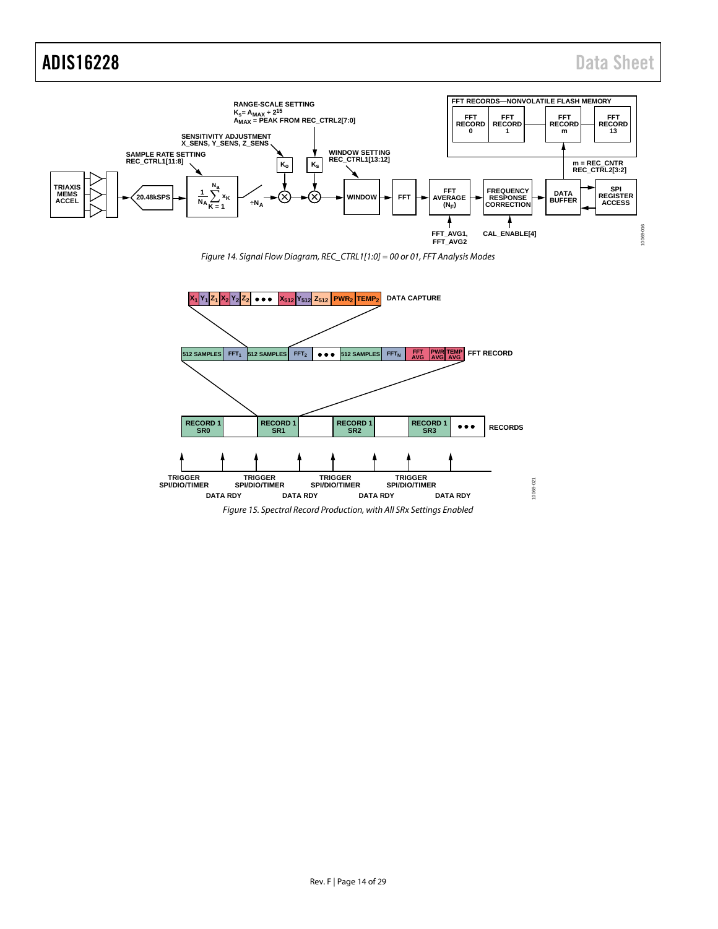# ADIS16228 Data Sheet



*Figure 14. Signal Flow Diagram, REC\_CTRL1[1:0] = 00 or 01, FFT Analysis Modes*

<span id="page-13-1"></span><span id="page-13-0"></span>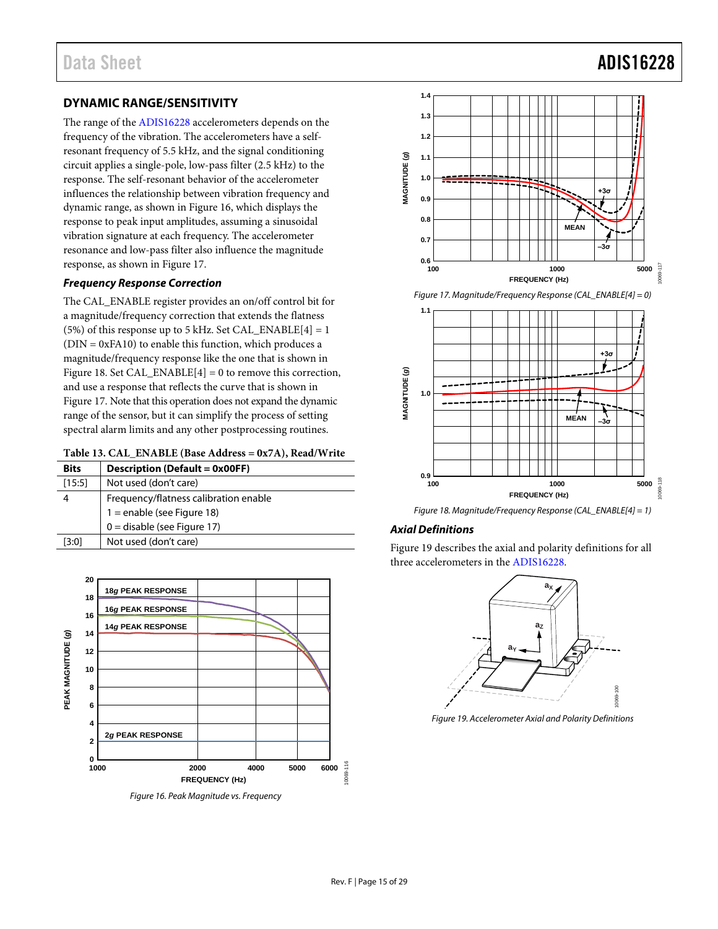# Data Sheet **ADIS16228**

# <span id="page-14-0"></span>**DYNAMIC RANGE/SENSITIVITY**

The range of the [ADIS16228](http://www.analog.com/adis16228?doc=ADIS16228.pdf) accelerometers depends on the frequency of the vibration. The accelerometers have a selfresonant frequency of 5.5 kHz, and the signal conditioning circuit applies a single-pole, low-pass filter (2.5 kHz) to the response. The self-resonant behavior of the accelerometer influences the relationship between vibration frequency and dynamic range, as shown in [Figure 16,](#page-14-4) which displays the response to peak input amplitudes, assuming a sinusoidal vibration signature at each frequency. The accelerometer resonance and low-pass filter also influence the magnitude response, as shown i[n Figure 17.](#page-14-1)

### *Frequency Response Correction*

The CAL\_ENABLE register provides an on/off control bit for a magnitude/frequency correction that extends the flatness (5%) of this response up to 5 kHz. Set CAL\_ENABLE $[4] = 1$  $(DIN = 0xFA10)$  to enable this function, which produces a magnitude/frequency response like the one that is shown in [Figure 18.](#page-14-2) Set CAL\_ENABLE[4] = 0 to remove this correction, and use a response that reflects the curve that is shown in [Figure 17.](#page-14-1) Note that this operation does not expand the dynamic range of the sensor, but it can simplify the process of setting spectral alarm limits and any other postprocessing routines.

<span id="page-14-3"></span>

|  |  | Table 13. CAL_ENABLE (Base Address = 0x7A), Read/Write |  |  |
|--|--|--------------------------------------------------------|--|--|
|--|--|--------------------------------------------------------|--|--|

| <b>Bits</b> | <b>Description (Default = 0x00FF)</b> |
|-------------|---------------------------------------|
| [15:5]      | Not used (don't care)                 |
|             | Frequency/flatness calibration enable |
|             | 1 = enable (see Figure 18)            |
|             | $0 =$ disable (see Figure 17)         |
| [3:0]       | Not used (don't care)                 |



<span id="page-14-4"></span>*Figure 16. Peak Magnitude vs. Frequency*



*Figure 17. Magnitude/Frequency Response (CAL\_ENABLE[4] = 0)*

<span id="page-14-1"></span>

*Figure 18. Magnitude/Frequency Response (CAL\_ENABLE[4] = 1)*

# <span id="page-14-2"></span>*Axial Definitions*

[Figure 19](#page-14-5) describes the axial and polarity definitions for all three accelerometers in th[e ADIS16228.](http://www.analog.com/adis16228?doc=ADIS16228.pdf) 



<span id="page-14-5"></span>*Figure 19. Accelerometer Axial and Polarity Definitions*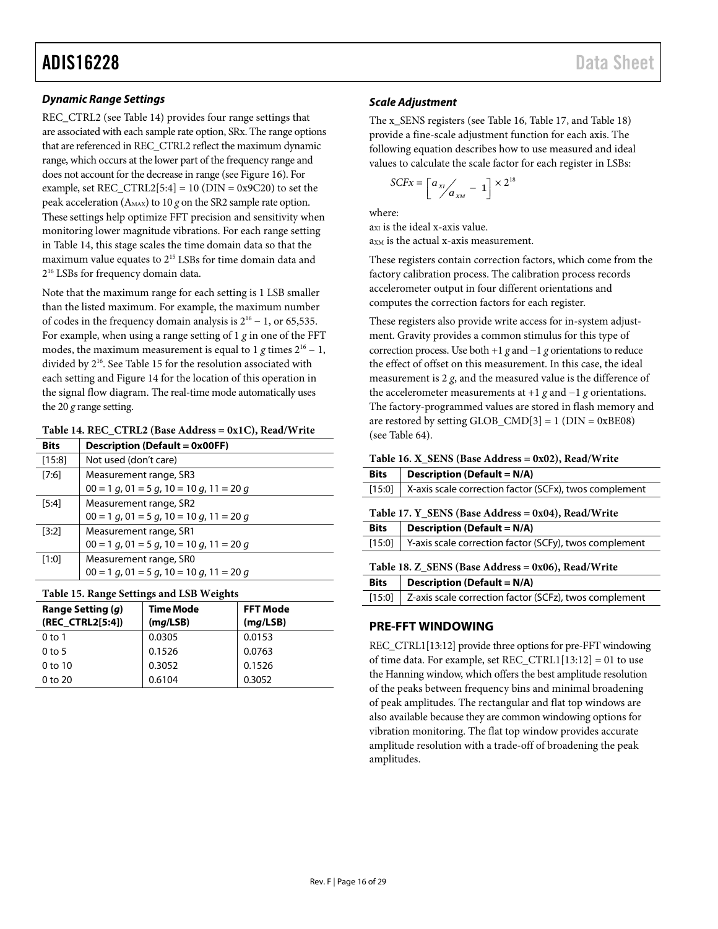# ADIS16228 Data Sheet

# *Dynamic Range Settings*

REC\_CTRL2 (se[e Table 14\)](#page-15-4) provides four range settings that are associated with each sample rate option, SRx. The range options that are referenced in REC\_CTRL2 reflect the maximum dynamic range, which occurs at the lower part of the frequency range and does not account for the decrease in range (se[e Figure 16\)](#page-14-4). For example, set  $REC_CTRL2[5:4] = 10$  (DIN = 0x9C20) to set the peak acceleration (AMAX) to 10 *g* on the SR2 sample rate option. These settings help optimize FFT precision and sensitivity when monitoring lower magnitude vibrations. For each range setting in [Table 14,](#page-15-4) this stage scales the time domain data so that the maximum value equates to 215 LSBs for time domain data and 216 LSBs for frequency domain data.

Note that the maximum range for each setting is 1 LSB smaller than the listed maximum. For example, the maximum number of codes in the frequency domain analysis is  $2^{16} - 1$ , or 65,535. For example, when using a range setting of 1 *g* in one of the FFT modes, the maximum measurement is equal to 1 *g* times  $2^{16} - 1$ , divided by  $2^{16}$ . See [Table 15](#page-15-5) for the resolution associated with each setting an[d Figure 14](#page-13-0) for the location of this operation in the signal flow diagram. The real-time mode automatically uses the 20 *g* range setting.

#### <span id="page-15-4"></span>**Table 14. REC\_CTRL2 (Base Address = 0x1C), Read/Write**

| Bits   | <b>Description (Default = 0x00FF)</b>            |
|--------|--------------------------------------------------|
| [15:8] | Not used (don't care)                            |
| [7:6]  | Measurement range, SR3                           |
|        | $00 = 1$ g, $01 = 5$ g, $10 = 10$ g, $11 = 20$ g |
| [5:4]  | Measurement range, SR2                           |
|        | $00 = 1$ g, $01 = 5$ g, $10 = 10$ g, $11 = 20$ g |
| [3:2]  | Measurement range, SR1                           |
|        | $00 = 1$ g, $01 = 5$ g, $10 = 10$ g, $11 = 20$ g |
| [1:0]  | Measurement range, SRO                           |
|        | $00 = 1$ g, $01 = 5$ g, $10 = 10$ g, $11 = 20$ g |

#### <span id="page-15-5"></span>**Table 15. Range Settings and LSB Weights**

| Range Setting (q)<br>(REC CTRL2[5:4]) | Time Mode<br>(mq / LSB) | <b>FFT Mode</b><br>(mq / LSB) |
|---------------------------------------|-------------------------|-------------------------------|
| $0$ to 1                              | 0.0305                  | 0.0153                        |
| $0$ to 5                              | 0.1526                  | 0.0763                        |
| $0$ to $10$                           | 0.3052                  | 0.1526                        |
| 0 to 20                               | 0.6104                  | 0.3052                        |

# *Scale Adjustment*

The x\_SENS registers (see [Table 16,](#page-15-1) [Table 17,](#page-15-2) and [Table 18\)](#page-15-3) provide a fine-scale adjustment function for each axis. The following equation describes how to use measured and ideal values to calculate the scale factor for each register in LSBs:

$$
SCFx = \left[a_{x1} / a_{xM} - 1\right] \times 2^{18}
$$

where:

 $ax<sub>I</sub>$  is the ideal x-axis value. a<sub>xM</sub> is the actual x-axis measurement.

These registers contain correction factors, which come from the factory calibration process. The calibration process records accelerometer output in four different orientations and computes the correction factors for each register.

These registers also provide write access for in-system adjustment. Gravity provides a common stimulus for this type of correction process. Use both +1 *g* and −1 *g* orientations to reduce the effect of offset on this measurement. In this case, the ideal measurement is 2 *g*, and the measured value is the difference of the accelerometer measurements at +1 *g* and −1 *g* orientations. The factory-programmed values are stored in flash memory and are restored by setting  $GLOB\_CMD[3] = 1$  ( $DIN = 0xBE08$ ) (see [Table 64\)](#page-23-5).

#### <span id="page-15-1"></span>**Table 16. X\_SENS (Base Address = 0x02), Read/Write**

<span id="page-15-2"></span>

| <b>Bits</b>                                           | <b>Description (Default = <math>N/A</math>)</b>        |  |  |
|-------------------------------------------------------|--------------------------------------------------------|--|--|
| [15:0]                                                | X-axis scale correction factor (SCFx), twos complement |  |  |
| Table 17. Y SENS (Base Address = $0x04$ ), Read/Write |                                                        |  |  |
| <b>Bits</b>                                           | <b>Description (Default = N/A)</b>                     |  |  |
| [15:0]                                                | Y-axis scale correction factor (SCFy), twos complement |  |  |
| Table 18. Z SENS (Base Address = $0x06$ ), Read/Write |                                                        |  |  |
| <b>Bits</b>                                           | <b>Description (Default = N/A)</b>                     |  |  |
| [15:0]                                                | Z-axis scale correction factor (SCFz), twos complement |  |  |

# <span id="page-15-3"></span><span id="page-15-0"></span>**PRE-FFT WINDOWING**

REC\_CTRL1[13:12] provide three options for pre-FFT windowing of time data. For example, set REC\_CTRL1[13:12] = 01 to use the Hanning window, which offers the best amplitude resolution of the peaks between frequency bins and minimal broadening of peak amplitudes. The rectangular and flat top windows are also available because they are common windowing options for vibration monitoring. The flat top window provides accurate amplitude resolution with a trade-off of broadening the peak amplitudes.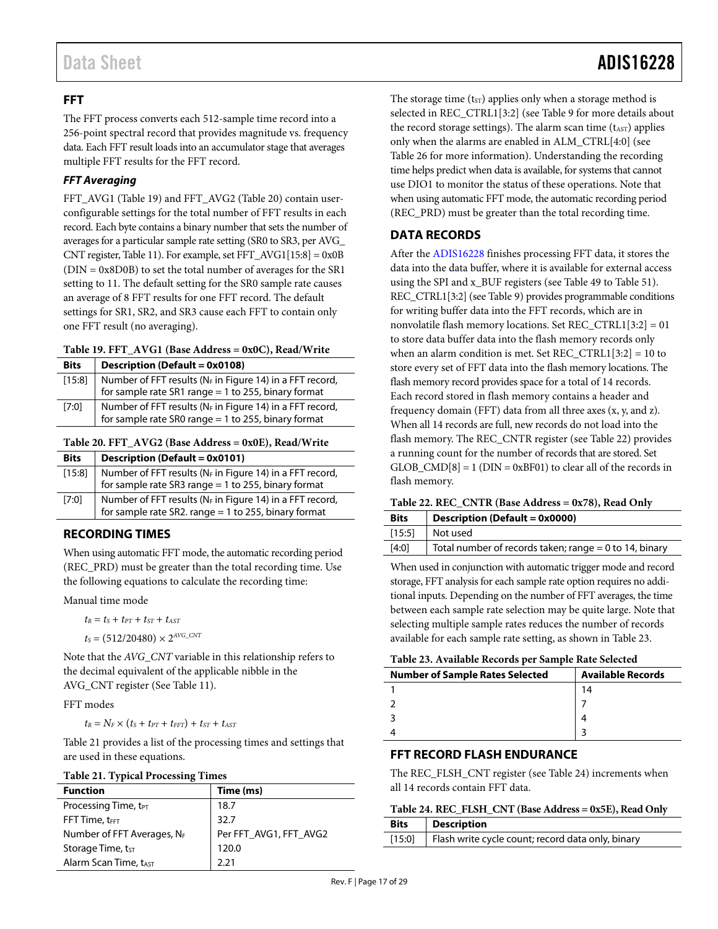# <span id="page-16-0"></span>**FFT**

The FFT process converts each 512-sample time record into a 256-point spectral record that provides magnitude vs. frequency data. Each FFT result loads into an accumulator stage that averages multiple FFT results for the FFT record.

# *FFT Averaging*

FFT\_AVG1 [\(Table 19\)](#page-16-4) and FFT\_AVG2 [\(Table 20\)](#page-16-5) contain userconfigurable settings for the total number of FFT results in each record. Each byte contains a binary number that sets the number of averages for a particular sample rate setting (SR0 to SR3, per AVG\_ CNT register[, Table 11\)](#page-12-2). For example, set FFT\_AVG1[15:8] = 0x0B (DIN = 0x8D0B) to set the total number of averages for the SR1 setting to 11. The default setting for the SR0 sample rate causes an average of 8 FFT results for one FFT record. The default settings for SR1, SR2, and SR3 cause each FFT to contain only one FFT result (no averaging).

<span id="page-16-4"></span>

|  |  |  | Table 19. FFT_AVG1 (Base Address = 0x0C), Read/Write |
|--|--|--|------------------------------------------------------|
|--|--|--|------------------------------------------------------|

| <b>Bits</b> | <b>Description (Default = 0x0108)</b>                                                                             |
|-------------|-------------------------------------------------------------------------------------------------------------------|
| [15:8]      | Number of FFT results (NF in Figure 14) in a FFT record,<br>for sample rate SR1 range = 1 to 255, binary format   |
| [7:0]       | Number of FFT results (NF in Figure 14) in a FFT record,<br>for sample rate SR0 range = $1$ to 255, binary format |

<span id="page-16-5"></span>

| <b>Bits</b> | <b>Description (Default = 0x0101)</b>                                                                                |
|-------------|----------------------------------------------------------------------------------------------------------------------|
| $[15:8]$    | Number of FFT results ( $N_F$ in Figure 14) in a FFT record,<br>for sample rate SR3 range = 1 to 255, binary format  |
| [7:0]       | Number of FFT results ( $N_F$ in Figure 14) in a FFT record,<br>for sample rate SR2. range = 1 to 255, binary format |

# <span id="page-16-1"></span>**RECORDING TIMES**

When using automatic FFT mode, the automatic recording period (REC\_PRD) must be greater than the total recording time. Use the following equations to calculate the recording time:

Manual time mode

 $t_R = t_S + t_{PT} + t_{ST} + t_{AST}$ 

$$
t_s = (512/20480) \times 2^{AVG\_CNT}
$$

Note that the *AVG\_CNT* variable in this relationship refers to the decimal equivalent of the applicable nibble in the AVG\_CNT register (Se[e Table 11\)](#page-12-2).

FFT modes

 $t_R = N_F \times (t_S + t_{PT} + t_{FFT}) + t_{ST} + t_{AST}$ 

[Table 21](#page-16-8) provides a list of the processing times and settings that are used in these equations.

#### <span id="page-16-8"></span>**Table 21. Typical Processing Times**

| <b>Function</b>                  | Time (ms)              |  |
|----------------------------------|------------------------|--|
| Processing Time, t <sub>PT</sub> | 18.7                   |  |
| FFT Time, tFFT                   | 32.7                   |  |
| Number of FFT Averages, $N_F$    | Per FFT_AVG1, FFT_AVG2 |  |
| Storage Time, tst                | 120.0                  |  |
| Alarm Scan Time, tAST            | 221                    |  |

The storage time  $(t<sub>ST</sub>)$  applies only when a storage method is selected in REC\_CTRL1[3:2] (se[e Table 9](#page-11-2) for more details about the record storage settings). The alarm scan time  $(t<sub>AST</sub>)$  applies only when the alarms are enabled in ALM\_CTRL[4:0] (see [Table 26](#page-17-3) for more information). Understanding the recording time helps predict when data is available, for systems that cannot use DIO1 to monitor the status of these operations. Note that when using automatic FFT mode, the automatic recording period (REC\_PRD) must be greater than the total recording time.

# <span id="page-16-2"></span>**DATA RECORDS**

After the [ADIS16228](http://www.analog.com/adis16228?doc=ADIS16228.pdf) finishes processing FFT data, it stores the data into the data buffer, where it is available for external access using the SPI and x\_BUF registers (se[e Table 49](#page-21-5) to [Table 51\)](#page-21-7). REC\_CTRL1[3:2] (see [Table 9\)](#page-11-2) provides programmable conditions for writing buffer data into the FFT records, which are in nonvolatile flash memory locations. Set REC\_CTRL1[3:2] = 01 to store data buffer data into the flash memory records only when an alarm condition is met. Set REC\_CTRL1[3:2] = 10 to store every set of FFT data into the flash memory locations. The flash memory record provides space for a total of 14 records. Each record stored in flash memory contains a header and frequency domain (FFT) data from all three axes (x, y, and z). When all 14 records are full, new records do not load into the flash memory. The REC\_CNTR register (see [Table 22\)](#page-16-7) provides a running count for the number of records that are stored. Set GLOB  $\text{CMD}[8] = 1 \text{ (DIN} = 0 \text{xBF01})$  to clear all of the records in flash memory.

<span id="page-16-7"></span>

| <b>Bits</b> | Description (Default = 0x0000)                           |
|-------------|----------------------------------------------------------|
| [15:5]      | Not used                                                 |
| [4:0]       | Total number of records taken; range = $0$ to 14, binary |

When used in conjunction with automatic trigger mode and record storage, FFT analysis for each sample rate option requires no additional inputs. Depending on the number of FFT averages, the time between each sample rate selection may be quite large. Note that selecting multiple sample rates reduces the number of records available for each sample rate setting, as shown in [Table 23.](#page-16-9)

<span id="page-16-9"></span>

| <b>Number of Sample Rates Selected</b> | <b>Available Records</b> |  |
|----------------------------------------|--------------------------|--|
|                                        | 14                       |  |
|                                        |                          |  |
|                                        |                          |  |
|                                        |                          |  |
|                                        |                          |  |

# <span id="page-16-3"></span>**FFT RECORD FLASH ENDURANCE**

The REC\_FLSH\_CNT register (see [Table 24\)](#page-16-6) increments when all 14 records contain FFT data.

#### <span id="page-16-6"></span>**Table 24. REC\_FLSH\_CNT (Base Address = 0x5E), Read Only**

| <b>Bits</b> | <b>Description</b>                                |
|-------------|---------------------------------------------------|
| $[15:0]$    | Flash write cycle count; record data only, binary |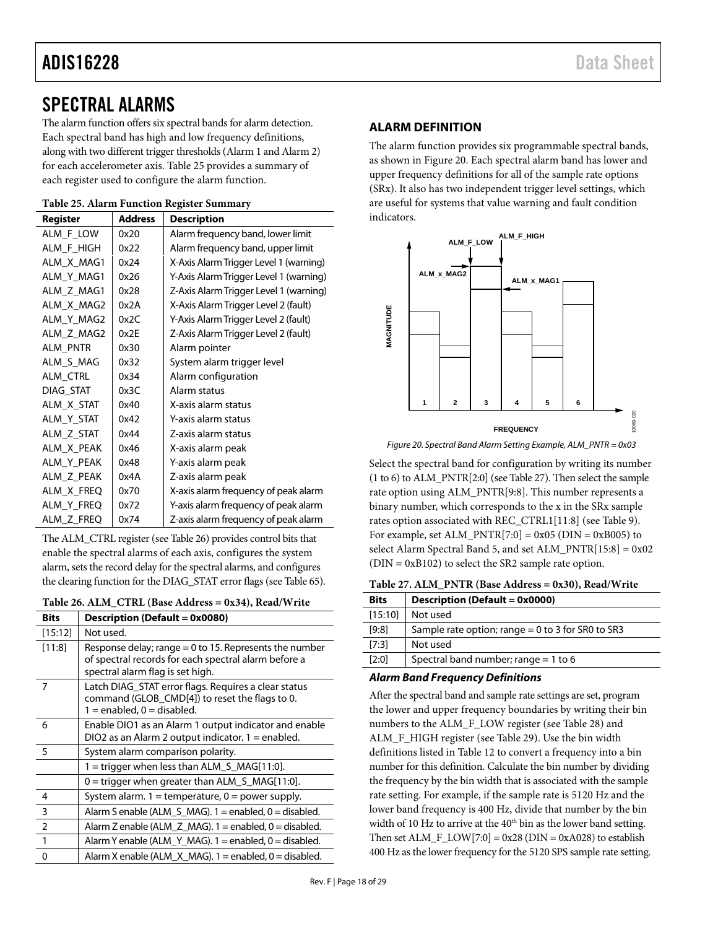# <span id="page-17-0"></span>SPECTRAL ALARMS

The alarm function offers six spectral bands for alarm detection. Each spectral band has high and low frequency definitions, along with two different trigger thresholds (Alarm 1 and Alarm 2) for each accelerometer axis[. Table 25](#page-17-4) provides a summary of each register used to configure the alarm function.

<span id="page-17-4"></span>

|  |  |  |  | Table 25. Alarm Function Register Summary |
|--|--|--|--|-------------------------------------------|
|--|--|--|--|-------------------------------------------|

| Register   | <b>Address</b> | <b>Description</b>                     |
|------------|----------------|----------------------------------------|
| ALM_F_LOW  | 0x20           | Alarm frequency band, lower limit      |
| ALM F HIGH | 0x22           | Alarm frequency band, upper limit      |
| ALM X MAG1 | 0x24           | X-Axis Alarm Trigger Level 1 (warning) |
| ALM Y MAG1 | 0x26           | Y-Axis Alarm Trigger Level 1 (warning) |
| ALM_Z_MAG1 | 0x28           | Z-Axis Alarm Trigger Level 1 (warning) |
| ALM X MAG2 | 0x2A           | X-Axis Alarm Trigger Level 2 (fault)   |
| ALM_Y_MAG2 | 0x2C           | Y-Axis Alarm Trigger Level 2 (fault)   |
| ALM_Z_MAG2 | 0x2E           | Z-Axis Alarm Trigger Level 2 (fault)   |
| ALM_PNTR   | 0x30           | Alarm pointer                          |
| ALM S MAG  | 0x32           | System alarm trigger level             |
| ALM CTRL   | 0x34           | Alarm configuration                    |
| DIAG STAT  | 0x3C           | Alarm status                           |
| ALM X STAT | 0x40           | X-axis alarm status                    |
| ALM_Y_STAT | 0x42           | Y-axis alarm status                    |
| ALM_Z_STAT | 0x44           | Z-axis alarm status                    |
| ALM_X_PEAK | 0x46           | X-axis alarm peak                      |
| ALM_Y_PEAK | 0x48           | Y-axis alarm peak                      |
| ALM Z PEAK | 0x4A           | Z-axis alarm peak                      |
| ALM X FREQ | 0x70           | X-axis alarm frequency of peak alarm   |
| ALM_Y_FREQ | 0x72           | Y-axis alarm frequency of peak alarm   |
| ALM Z FREQ | 0x74           | Z-axis alarm frequency of peak alarm   |

The ALM\_CTRL register (see [Table 26\)](#page-17-3) provides control bits that enable the spectral alarms of each axis, configures the system alarm, sets the record delay for the spectral alarms, and configures the clearing function for the DIAG\_STAT error flags (se[e Table 65\)](#page-23-4).

<span id="page-17-3"></span>

| Table 26. ALM_CTRL (Base Address = 0x34), Read/Write |  |  |  |  |
|------------------------------------------------------|--|--|--|--|
|------------------------------------------------------|--|--|--|--|

| <b>Bits</b>    | Description (Default = 0x0080)                                                                                                                       |
|----------------|------------------------------------------------------------------------------------------------------------------------------------------------------|
| [15:12]        | Not used.                                                                                                                                            |
| [11:8]         | Response delay; range $= 0$ to 15. Represents the number<br>of spectral records for each spectral alarm before a<br>spectral alarm flag is set high. |
| 7              | Latch DIAG_STAT error flags. Requires a clear status<br>command (GLOB CMD[4]) to reset the flags to 0.<br>$1 =$ enabled, $0 =$ disabled.             |
| 6              | Enable DIO1 as an Alarm 1 output indicator and enable<br>DIO2 as an Alarm 2 output indicator. $1 =$ enabled.                                         |
| -5             | System alarm comparison polarity.                                                                                                                    |
|                | 1 = trigger when less than ALM_S_MAG[11:0].                                                                                                          |
|                | 0 = trigger when greater than ALM_S_MAG[11:0].                                                                                                       |
| $\overline{4}$ | System alarm. $1 =$ temperature, $0 =$ power supply.                                                                                                 |
| $\overline{3}$ | Alarm S enable (ALM S $MAG$ ). 1 = enabled, 0 = disabled.                                                                                            |
| $\overline{2}$ | Alarm Z enable (ALM_Z_MAG). 1 = enabled, 0 = disabled.                                                                                               |
| $\mathbf{1}$   | Alarm Y enable (ALM_Y_MAG). 1 = enabled, 0 = disabled.                                                                                               |
| $\Omega$       | Alarm X enable (ALM $\,$ X $\,$ MAG). 1 = enabled, 0 = disabled.                                                                                     |

# <span id="page-17-1"></span>**ALARM DEFINITION**

The alarm function provides six programmable spectral bands, as shown i[n Figure 20.](#page-17-5) Each spectral alarm band has lower and upper frequency definitions for all of the sample rate options (SRx). It also has two independent trigger level settings, which are useful for systems that value warning and fault condition indicators.



<span id="page-17-5"></span>*Figure 20. Spectral Band Alarm Setting Example, ALM\_PNTR = 0x03*

Select the spectral band for configuration by writing its number (1 to 6) to ALM\_PNTR[2:0] (se[e Table 27\)](#page-17-2). Then select the sample rate option using ALM\_PNTR[9:8]. This number represents a binary number, which corresponds to the x in the SRx sample rates option associated with REC\_CTRL1[11:8] (see [Table 9\)](#page-11-2). For example, set  $ALM_PNTR[7:0] = 0x05$  (DIN = 0xB005) to select Alarm Spectral Band 5, and set ALM\_PNTR[15:8] = 0x02  $(DIN = 0xB102)$  to select the SR2 sample rate option.

<span id="page-17-2"></span>**Table 27. ALM\_PNTR (Base Address = 0x30), Read/Write**

| <b>Bits</b> | Description (Default = 0x0000)                      |
|-------------|-----------------------------------------------------|
| [15:10]     | Not used                                            |
| [9:8]       | Sample rate option; range $= 0$ to 3 for SR0 to SR3 |
| [7:3]       | Not used                                            |
| [2:0]       | Spectral band number; range = $1$ to 6              |

# *Alarm Band Frequency Definitions*

After the spectral band and sample rate settings are set, program the lower and upper frequency boundaries by writing their bin numbers to the ALM\_F\_LOW register (see [Table 28\)](#page-18-2) and ALM\_F\_HIGH register (see [Table 29\)](#page-18-3). Use the bin width definitions listed i[n Table 12](#page-12-3) to convert a frequency into a bin number for this definition. Calculate the bin number by dividing the frequency by the bin width that is associated with the sample rate setting. For example, if the sample rate is 5120 Hz and the lower band frequency is 400 Hz, divide that number by the bin width of 10 Hz to arrive at the  $40<sup>th</sup>$  bin as the lower band setting. Then set  $ALM_F\_LOW[7:0] = 0x28$  (DIN = 0xA028) to establish 400 Hz as the lower frequency for the 5120 SPS sample rate setting.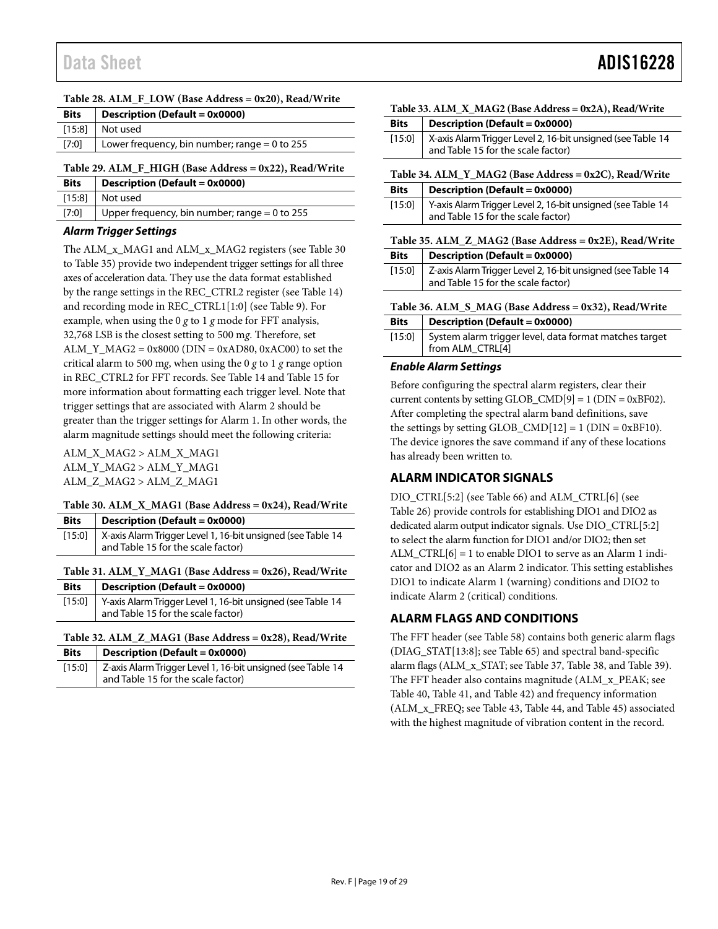#### <span id="page-18-2"></span>**Table 28. ALM\_F\_LOW (Base Address = 0x20), Read/Write**

| <b>Bits</b> | Description (Default = $0x0000$ )             |
|-------------|-----------------------------------------------|
|             | $[15:8]$ Not used                             |
| $[7:0]$     | Lower frequency, bin number; range = 0 to 255 |
|             |                                               |

<span id="page-18-3"></span>**Table 29. ALM\_F\_HIGH (Base Address = 0x22), Read/Write**

| <b>Bits</b> | Description (Default = 0x0000)                  |
|-------------|-------------------------------------------------|
|             | $[15:8]$ Not used                               |
| [7:0]       | Upper frequency, bin number; range $= 0$ to 255 |

#### *Alarm Trigger Settings*

The ALM\_x\_MAG1 and ALM\_x\_MAG2 registers (se[e Table 30](#page-18-4) to [Table 35\)](#page-18-9) provide two independent trigger settings for all three axes of acceleration data. They use the data format established by the range settings in the REC\_CTRL2 register (se[e Table 14\)](#page-15-4) and recording mode in REC\_CTRL1[1:0] (se[e Table 9\)](#page-11-2). For example, when using the 0 *g* to 1 *g* mode for FFT analysis, 32,768 LSB is the closest setting to 500 m*g*. Therefore, set  $ALM_Y_MAG2 = 0x8000 (DIN = 0xAD80, 0xAC00)$  to set the critical alarm to 500 m*g*, when using the 0 *g* to 1 *g* range option in REC\_CTRL2 for FFT records. Se[e Table 14](#page-15-4) and [Table 15](#page-15-5) for more information about formatting each trigger level. Note that trigger settings that are associated with Alarm 2 should be greater than the trigger settings for Alarm 1. In other words, the alarm magnitude settings should meet the following criteria:

ALM\_X\_MAG2 > ALM\_X\_MAG1 ALM\_Y\_MAG2 > ALM\_Y\_MAG1 ALM\_Z\_MAG2 > ALM\_Z\_MAG1

#### <span id="page-18-4"></span>**Table 30. ALM\_X\_MAG1 (Base Address = 0x24), Read/Write**

| <b>Bits</b> | $\vert$ Description (Default = 0x0000)                               |
|-------------|----------------------------------------------------------------------|
|             | [15:0]   X-axis Alarm Trigger Level 1, 16-bit unsigned (see Table 14 |
|             | and Table 15 for the scale factor)                                   |

#### <span id="page-18-5"></span>**Table 31. ALM\_Y\_MAG1 (Base Address = 0x26), Read/Write**

| <b>Bits</b> | $\vert$ Description (Default = 0x0000)                                                                   |
|-------------|----------------------------------------------------------------------------------------------------------|
|             | [15:0] Y-axis Alarm Trigger Level 1, 16-bit unsigned (see Table 14<br>and Table 15 for the scale factor) |

#### <span id="page-18-6"></span>**Table 32. ALM\_Z\_MAG1 (Base Address = 0x28), Read/Write**

<span id="page-18-7"></span>

| <b>Bits</b> | $\vert$ Description (Default = 0x0000)                               |
|-------------|----------------------------------------------------------------------|
|             | [15:0]   Z-axis Alarm Trigger Level 1, 16-bit unsigned (see Table 14 |
|             | and Table 15 for the scale factor)                                   |

#### **Table 33. ALM\_X\_MAG2 (Base Address = 0x2A), Read/Write**

| <b>Bits</b> | $\vert$ Description (Default = 0x0000)                               |
|-------------|----------------------------------------------------------------------|
|             | [15:0]   X-axis Alarm Trigger Level 2, 16-bit unsigned (see Table 14 |
|             | and Table 15 for the scale factor)                                   |

<span id="page-18-8"></span>**Table 34. ALM\_Y\_MAG2 (Base Address = 0x2C), Read/Write**

| <b>Bits</b> | $\vert$ Description (Default = 0x0000)                                                                     |
|-------------|------------------------------------------------------------------------------------------------------------|
|             | [15:0]   Y-axis Alarm Trigger Level 2, 16-bit unsigned (see Table 14<br>and Table 15 for the scale factor) |

#### <span id="page-18-9"></span>**Table 35. ALM\_Z\_MAG2 (Base Address = 0x2E), Read/Write**

#### **Bits Description (Default = 0x0000)**

| [15:0] Z-axis Alarm Trigger Level 2, 16-bit unsigned (see Table 14 |
|--------------------------------------------------------------------|
| and Table 15 for the scale factor)                                 |
|                                                                    |

# <span id="page-18-10"></span>**Table 36. ALM\_S\_MAG (Base Address = 0x32), Read/Write Bits Description (Default = 0x0000)**

| [15:0] System alarm trigger level, data format matches target<br>from ALM_CTRL[4] |
|-----------------------------------------------------------------------------------|
|                                                                                   |

### *Enable Alarm Settings*

Before configuring the spectral alarm registers, clear their current contents by setting  $GLOB\_CMD[9] = 1 (DIN = 0xBF02)$ . After completing the spectral alarm band definitions, save the settings by setting GLOB\_CMD[12] = 1 ( $DIN = 0xBF10$ ). The device ignores the save command if any of these locations has already been written to.

# <span id="page-18-0"></span>**ALARM INDICATOR SIGNALS**

DIO\_CTRL[5:2] (se[e Table 66\)](#page-24-2) and ALM\_CTRL[6] (see [Table 26\)](#page-17-3) provide controls for establishing DIO1 and DIO2 as dedicated alarm output indicator signals. Use DIO\_CTRL[5:2] to select the alarm function for DIO1 and/or DIO2; then set ALM\_CTRL[6] = 1 to enable DIO1 to serve as an Alarm 1 indicator and DIO2 as an Alarm 2 indicator. This setting establishes DIO1 to indicate Alarm 1 (warning) conditions and DIO2 to indicate Alarm 2 (critical) conditions.

# <span id="page-18-1"></span>**ALARM FLAGS AND CONDITIONS**

The FFT header (se[e Table 58\)](#page-22-5) contains both generic alarm flags (DIAG\_STAT[13:8]; see [Table 65\)](#page-23-4) and spectral band-specific alarm flags (ALM\_x\_STAT; se[e Table 37,](#page-19-2) [Table 38,](#page-19-3) and [Table 39\)](#page-19-4). The FFT header also contains magnitude (ALM\_x\_PEAK; see [Table 40,](#page-19-5) [Table 41,](#page-19-6) and [Table 42\)](#page-19-7) and frequency information (ALM\_x\_FREQ; see [Table 43,](#page-19-8) [Table 44,](#page-19-9) and [Table 45\)](#page-19-10) associated with the highest magnitude of vibration content in the record.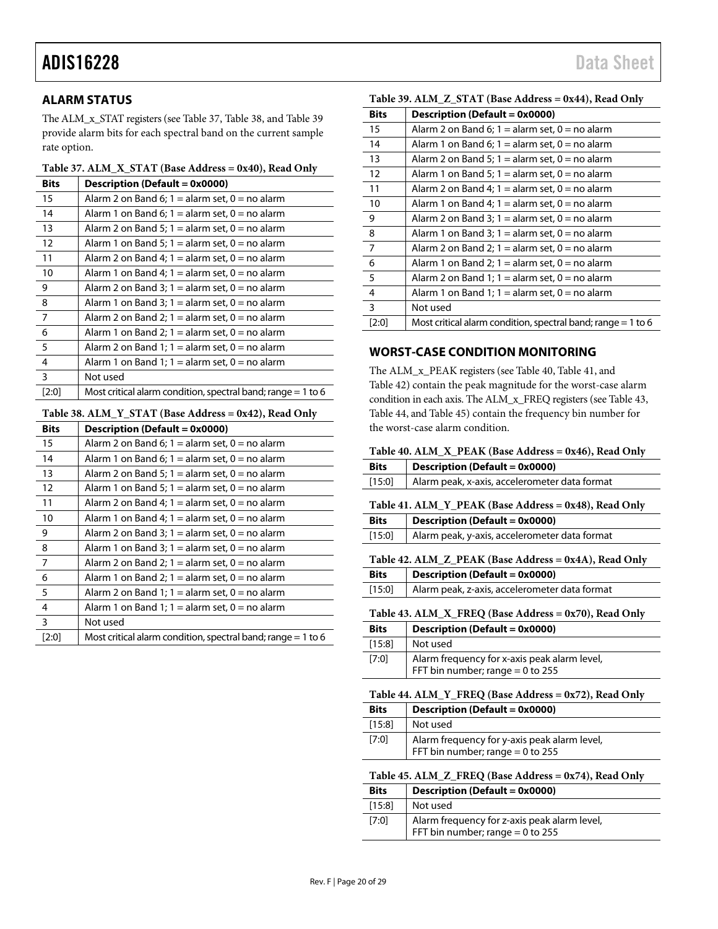# <span id="page-19-0"></span>**ALARM STATUS**

The ALM\_x\_STAT registers (see [Table 37,](#page-19-2) [Table 38,](#page-19-3) and [Table 39](#page-19-4) provide alarm bits for each spectral band on the current sample rate option.

#### <span id="page-19-2"></span>**Table 37. ALM\_X\_STAT (Base Address = 0x40), Read Only**

| <b>Bits</b>       | Description (Default = 0x0000)                                 |  |  |  |
|-------------------|----------------------------------------------------------------|--|--|--|
| 15                | Alarm 2 on Band 6; $1 =$ alarm set, $0 =$ no alarm             |  |  |  |
| 14                | Alarm 1 on Band 6; $1 =$ alarm set, $0 =$ no alarm             |  |  |  |
| 13                | Alarm 2 on Band 5; $1 =$ alarm set, $0 =$ no alarm             |  |  |  |
| $12 \overline{ }$ | Alarm 1 on Band 5; $1 =$ alarm set, $0 =$ no alarm             |  |  |  |
| 11                | Alarm 2 on Band 4; $1 =$ alarm set, $0 =$ no alarm             |  |  |  |
| 10                | Alarm 1 on Band 4; $1 =$ alarm set, $0 =$ no alarm             |  |  |  |
| 9                 | Alarm 2 on Band 3; $1 =$ alarm set, $0 =$ no alarm             |  |  |  |
| 8                 | Alarm 1 on Band 3; $1 =$ alarm set, $0 =$ no alarm             |  |  |  |
| 7                 | Alarm 2 on Band 2; $1 =$ alarm set, $0 =$ no alarm             |  |  |  |
| 6                 | Alarm 1 on Band 2; $1 =$ alarm set, $0 =$ no alarm             |  |  |  |
| 5                 | Alarm 2 on Band 1; $1 =$ alarm set, $0 =$ no alarm             |  |  |  |
| 4                 | Alarm 1 on Band 1; $1 =$ alarm set, $0 =$ no alarm             |  |  |  |
| 3                 | Not used                                                       |  |  |  |
| [2:0]             | Most critical alarm condition, spectral band; range $=$ 1 to 6 |  |  |  |

#### <span id="page-19-3"></span>**Table 38. ALM\_Y\_STAT (Base Address = 0x42), Read Only**

| <b>Bits</b>    | Description (Default = 0x0000)                                 |
|----------------|----------------------------------------------------------------|
| 15             | Alarm 2 on Band 6; $1 =$ alarm set, $0 =$ no alarm             |
| 14             | Alarm 1 on Band 6; $1 =$ alarm set, $0 =$ no alarm             |
| 13             | Alarm 2 on Band 5; $1 =$ alarm set, $0 =$ no alarm             |
| 12             | Alarm 1 on Band 5; $1 =$ alarm set, $0 =$ no alarm             |
| 11             | Alarm 2 on Band 4; $1 =$ alarm set, $0 =$ no alarm             |
| 10             | Alarm 1 on Band 4; $1 =$ alarm set, $0 =$ no alarm             |
| 9              | Alarm 2 on Band 3; $1 =$ alarm set, $0 =$ no alarm             |
| 8              | Alarm 1 on Band 3; $1 =$ alarm set, $0 =$ no alarm             |
| $\overline{7}$ | Alarm 2 on Band 2; $1 =$ alarm set, $0 =$ no alarm             |
| 6              | Alarm 1 on Band 2; $1 =$ alarm set, $0 =$ no alarm             |
| 5              | Alarm 2 on Band 1; $1 =$ alarm set, $0 =$ no alarm             |
| $\overline{4}$ | Alarm 1 on Band 1; $1 =$ alarm set, $0 =$ no alarm             |
| 3              | Not used                                                       |
| [2:0]          | Most critical alarm condition, spectral band; range $=$ 1 to 6 |

### <span id="page-19-4"></span>**Table 39. ALM\_Z\_STAT (Base Address = 0x44), Read Only**

| <b>Bits</b>     | Description (Default = 0x0000)                                 |
|-----------------|----------------------------------------------------------------|
| 15              | Alarm 2 on Band 6; $1 =$ alarm set, $0 =$ no alarm             |
| 14              | Alarm 1 on Band 6; $1 =$ alarm set, $0 =$ no alarm             |
| 13              | Alarm 2 on Band 5; $1 =$ alarm set, $0 =$ no alarm             |
| 12              | Alarm 1 on Band 5; $1 =$ alarm set, $0 =$ no alarm             |
| 11              | Alarm 2 on Band 4; $1 =$ alarm set, $0 =$ no alarm             |
| 10              | Alarm 1 on Band 4; $1 =$ alarm set, $0 =$ no alarm             |
| 9               | Alarm 2 on Band 3; $1 =$ alarm set, $0 =$ no alarm             |
| 8               | Alarm 1 on Band 3; $1 =$ alarm set, $0 =$ no alarm             |
| $\overline{7}$  | Alarm 2 on Band 2; $1 =$ alarm set, $0 =$ no alarm             |
| $6\overline{6}$ | Alarm 1 on Band 2; $1 =$ alarm set, $0 =$ no alarm             |
| 5               | Alarm 2 on Band 1; $1 =$ alarm set, $0 =$ no alarm             |
| $\overline{4}$  | Alarm 1 on Band 1; $1 =$ alarm set, $0 =$ no alarm             |
| 3               | Not used                                                       |
| [2:0]           | Most critical alarm condition, spectral band; range $= 1$ to 6 |

### <span id="page-19-1"></span>**WORST-CASE CONDITION MONITORING**

The ALM\_x\_PEAK registers (se[e Table 40,](#page-19-5) [Table 41,](#page-19-6) and [Table 42\)](#page-19-7) contain the peak magnitude for the worst-case alarm condition in each axis. The ALM\_x\_FREQ registers (se[e Table 43,](#page-19-8)  [Table 44,](#page-19-9) an[d Table 45\)](#page-19-10) contain the frequency bin number for the worst-case alarm condition.

#### <span id="page-19-5"></span>**Table 40. ALM\_X\_PEAK (Base Address = 0x46), Read Only**

<span id="page-19-10"></span><span id="page-19-9"></span><span id="page-19-8"></span><span id="page-19-7"></span><span id="page-19-6"></span>

| <b>Bits</b>                                           | <b>Description (Default = 0x0000)</b>                                              |  |  |
|-------------------------------------------------------|------------------------------------------------------------------------------------|--|--|
| [15:0]                                                | Alarm peak, x-axis, accelerometer data format                                      |  |  |
|                                                       | Table 41. ALM_Y_PEAK (Base Address = 0x48), Read Only                              |  |  |
| <b>Bits</b>                                           | <b>Description (Default = 0x0000)</b>                                              |  |  |
| [15:0]                                                | Alarm peak, y-axis, accelerometer data format                                      |  |  |
|                                                       | Table 42. ALM Z PEAK (Base Address = 0x4A), Read Only                              |  |  |
| <b>Bits</b>                                           | <b>Description (Default = 0x0000)</b>                                              |  |  |
| [15:0]                                                | Alarm peak, z-axis, accelerometer data format                                      |  |  |
|                                                       | Table 43. ALM_X_FREQ (Base Address = 0x70), Read Only                              |  |  |
| <b>Bits</b>                                           | <b>Description (Default = 0x0000)</b>                                              |  |  |
| [15:8]                                                | Not used                                                                           |  |  |
| [7:0]                                                 | Alarm frequency for x-axis peak alarm level,<br>FFT bin number; range = 0 to 255   |  |  |
|                                                       | Table 44. ALM_Y_FREQ (Base Address = $0x72$ ), Read Only                           |  |  |
| <b>Bits</b>                                           | <b>Description (Default = 0x0000)</b>                                              |  |  |
| [15:8]                                                | Not used                                                                           |  |  |
| [7:0]                                                 | Alarm frequency for y-axis peak alarm level,<br>FFT bin number; range $= 0$ to 255 |  |  |
| Table 45. ALM_Z_FREQ (Base Address = 0x74), Read Only |                                                                                    |  |  |
| <b>Bits</b>                                           | <b>Description (Default = 0x0000)</b>                                              |  |  |
| $[15:8]$                                              | Not used                                                                           |  |  |
| [7:0]                                                 | Alarm frequency for z-axis peak alarm level,<br>FFT bin number; range $= 0$ to 255 |  |  |
|                                                       |                                                                                    |  |  |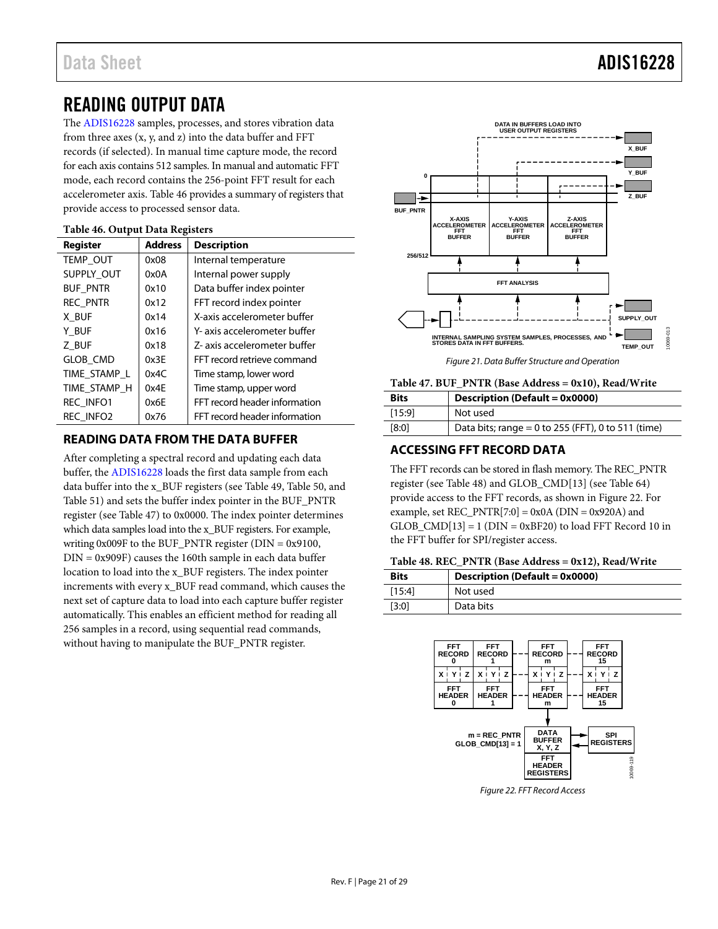# Data Sheet **ADIS16228**

# <span id="page-20-0"></span>READING OUTPUT DATA

The [ADIS16228](http://www.analog.com/adis16228?doc=ADIS16228.pdf) samples, processes, and stores vibration data from three axes  $(x, y, and z)$  into the data buffer and FFT records (if selected). In manual time capture mode, the record for each axis contains 512 samples. In manual and automatic FFT mode, each record contains the 256-point FFT result for each accelerometer axis. [Table 46](#page-20-5) provides a summary of registers that provide access to processed sensor data.

| <b>Register</b>  | <b>Address</b> | <b>Description</b>            |  |
|------------------|----------------|-------------------------------|--|
| TEMP OUT         | 0x08           | Internal temperature          |  |
| SUPPLY_OUT       | 0x0A           | Internal power supply         |  |
| <b>BUF PNTR</b>  | 0x10           | Data buffer index pointer     |  |
| <b>REC PNTR</b>  | 0x12           | FFT record index pointer      |  |
| X BUF            | 0x14           | X-axis accelerometer buffer   |  |
| Y BUF            | 0x16           | Y- axis accelerometer buffer  |  |
| Z BUF            | 0x18           | Z- axis accelerometer buffer  |  |
| <b>GLOB CMD</b>  | 0x3E           | FFT record retrieve command   |  |
| TIME STAMP L     | 0x4C           | Time stamp, lower word        |  |
| TIME STAMP H     | 0x4E           | Time stamp, upper word        |  |
| <b>REC INFO1</b> | 0x6E           | FFT record header information |  |
| REC INFO2        | 0x76           | FFT record header information |  |
|                  |                |                               |  |

### <span id="page-20-5"></span>**Table 46. Output Data Registers**

# <span id="page-20-1"></span>**READING DATA FROM THE DATA BUFFER**

After completing a spectral record and updating each data buffer, the [ADIS16228](http://www.analog.com/adis16228?doc=ADIS16228.pdf) loads the first data sample from each data buffer into the x\_BUF registers (see [Table 49,](#page-21-5) [Table 50,](#page-21-6) and [Table 51\)](#page-21-7) and sets the buffer index pointer in the BUF\_PNTR register (se[e Table 47\)](#page-20-3) to 0x0000. The index pointer determines which data samples load into the x\_BUF registers. For example, writing  $0x009F$  to the BUF\_PNTR register (DIN =  $0x9100$ , DIN = 0x909F) causes the 160th sample in each data buffer location to load into the x\_BUF registers. The index pointer increments with every x\_BUF read command, which causes the next set of capture data to load into each capture buffer register automatically. This enables an efficient method for reading all 256 samples in a record, using sequential read commands, without having to manipulate the BUF\_PNTR register.



#### <span id="page-20-3"></span>**Table 47. BUF\_PNTR (Base Address = 0x10), Read/Write**

| <b>Bits</b> | Description (Default = 0x0000)                     |  |  |
|-------------|----------------------------------------------------|--|--|
| [15:9]      | Not used                                           |  |  |
| [8:0]       | Data bits; range = 0 to 255 (FFT), 0 to 511 (time) |  |  |

### <span id="page-20-2"></span>**ACCESSING FFT RECORD DATA**

The FFT records can be stored in flash memory. The REC\_PNTR register (se[e Table 48\)](#page-20-4) and GLOB\_CMD[13] (see [Table 64\)](#page-23-5) provide access to the FFT records, as shown i[n Figure 22.](#page-20-6) For example, set  $REC_PNTR[7:0] = 0x0A$  (DIN = 0x920A) and GLOB  $CMD[13] = 1$  (DIN = 0xBF20) to load FFT Record 10 in the FFT buffer for SPI/register access.

#### <span id="page-20-4"></span>**Table 48. REC\_PNTR (Base Address = 0x12), Read/Write**

| <b>Bits</b> | Description (Default = $0x0000$ ) |  |  |
|-------------|-----------------------------------|--|--|
| [15:4]      | Not used                          |  |  |
| [3:0]       | Data bits                         |  |  |



<span id="page-20-6"></span>*Figure 22. FFT Record Access*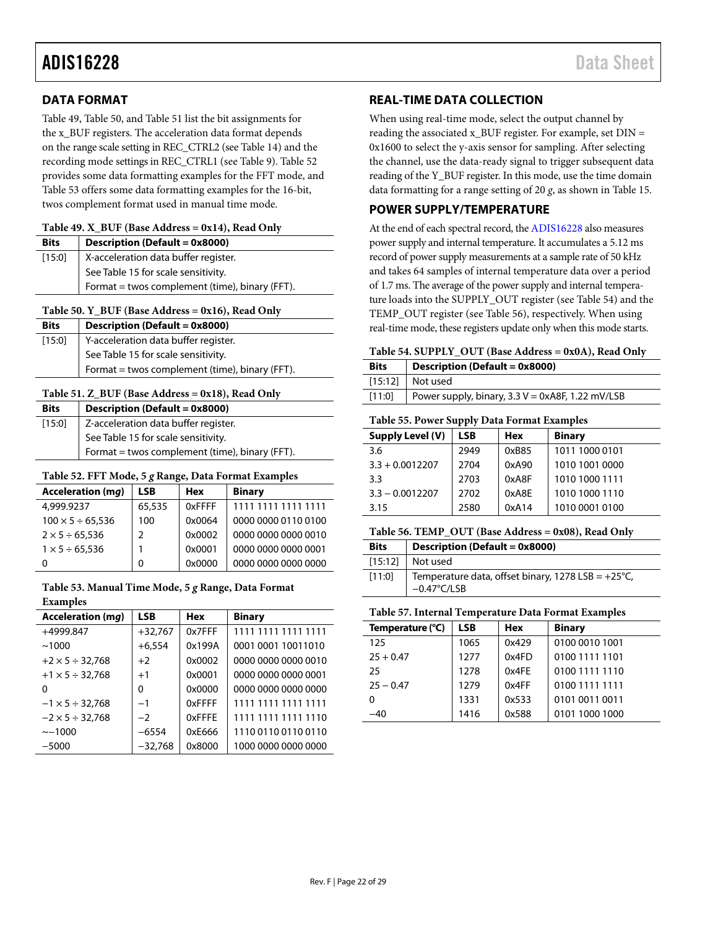# <span id="page-21-0"></span>**DATA FORMAT**

[Table 49,](#page-21-5) [Table 50,](#page-21-6) an[d Table 51](#page-21-7) list the bit assignments for the x\_BUF registers. The acceleration data format depends on the range scale setting in REC\_CTRL2 (see [Table 14\)](#page-15-4) and the recording mode settings in REC\_CTRL1 (see [Table 9\)](#page-11-2). [Table 52](#page-21-8) provides some data formatting examples for the FFT mode, and [Table 53](#page-21-9) offers some data formatting examples for the 16-bit, twos complement format used in manual time mode.

#### <span id="page-21-5"></span>**Table 49. X\_BUF (Base Address = 0x14), Read Only**

| <b>Bits</b> | <b>Description (Default = 0x8000)</b>          |  |  |  |
|-------------|------------------------------------------------|--|--|--|
| [15:0]      | X-acceleration data buffer register.           |  |  |  |
|             | See Table 15 for scale sensitivity.            |  |  |  |
|             | Format = twos complement (time), binary (FFT). |  |  |  |

#### <span id="page-21-6"></span>**Table 50. Y\_BUF (Base Address = 0x16), Read Only**

| <b>Bits</b> | <b>Description (Default = 0x8000)</b>          |  |  |  |
|-------------|------------------------------------------------|--|--|--|
| $[15:0]$    | Y-acceleration data buffer register.           |  |  |  |
|             | See Table 15 for scale sensitivity.            |  |  |  |
|             | Format = twos complement (time), binary (FFT). |  |  |  |

#### <span id="page-21-7"></span>**Table 51. Z\_BUF (Base Address = 0x18), Read Only**

| <b>Bits</b> | Description (Default = 0x8000)                 |  |  |  |
|-------------|------------------------------------------------|--|--|--|
| [15:0]      | Z-acceleration data buffer register.           |  |  |  |
|             | See Table 15 for scale sensitivity.            |  |  |  |
|             | Format = twos complement (time), binary (FFT). |  |  |  |

#### <span id="page-21-8"></span>**Table 52. FFT Mode, 5** *g* **Range, Data Format Examples**

| <b>Acceleration (mg)</b>   | <b>LSB</b>    | <b>Hex</b> | <b>Binary</b>       |
|----------------------------|---------------|------------|---------------------|
| 4.999.9237                 | 65,535        | 0xFFFF     | 1111 1111 1111 1111 |
| $100 \times 5 \div 65,536$ | 100           | 0x0064     | 0000 0000 0110 0100 |
| $2 \times 5 \div 65,536$   | $\mathcal{P}$ | 0x0002     | 0000 0000 0000 0010 |
| $1 \times 5 \div 65,536$   |               | 0x0001     | 0000 0000 0000 0001 |
|                            | 0             | 0x0000     | 0000 0000 0000 0000 |

#### <span id="page-21-9"></span>**Table 53. Manual Time Mode, 5** *g* **Range, Data Format Examples**

| <b>Acceleration (mg)</b>  | <b>LSB</b> | <b>Hex</b> | <b>Binary</b>       |
|---------------------------|------------|------------|---------------------|
| +4999.847                 | $+32,767$  | 0x7FFF     | 1111 1111 1111 1111 |
| ~1000                     | $+6,554$   | 0x199A     | 0001 0001 10011010  |
| $+2 \times 5 \div 32,768$ | $+2$       | 0x0002     | 0000 0000 0000 0010 |
| $+1 \times 5 \div 32,768$ | $+1$       | 0x0001     | 0000 0000 0000 0001 |
| 0                         | 0          | 0x0000     | 0000 0000 0000 0000 |
| $-1 \times 5 \div 32,768$ | $-1$       | 0xFFFF     | 1111 1111 1111 1111 |
| $-2 \times 5 \div 32,768$ | $-2$       | 0xFFFE     | 1111 1111 1111 1110 |
| $\sim$ -1000              | $-6554$    | 0xE666     | 1110 0110 0110 0110 |
| $-5000$                   | $-32,768$  | 0x8000     | 1000 0000 0000 0000 |

# <span id="page-21-1"></span>**REAL-TIME DATA COLLECTION**

When using real-time mode, select the output channel by reading the associated x\_BUF register. For example, set DIN = 0x1600 to select the y-axis sensor for sampling. After selecting the channel, use the data-ready signal to trigger subsequent data reading of the Y\_BUF register. In this mode, use the time domain data formatting for a range setting of 20 *g*, as shown i[n Table 15.](#page-15-5)

#### <span id="page-21-2"></span>**POWER SUPPLY/TEMPERATURE**

At the end of each spectral record, th[e ADIS16228](http://www.analog.com/adis16228?doc=ADIS16228.pdf) also measures power supply and internal temperature. It accumulates a 5.12 ms record of power supply measurements at a sample rate of 50 kHz and takes 64 samples of internal temperature data over a period of 1.7 ms. The average of the power supply and internal temperature loads into the SUPPLY\_OUT register (see [Table 54\)](#page-21-4) and the TEMP\_OUT register (se[e Table 56\)](#page-21-3), respectively. When using real-time mode, these registers update only when this mode starts.

<span id="page-21-4"></span>

| Table 54. SUPPLY_OUT (Base Address = 0x0A), Read Only |  |  |  |  |
|-------------------------------------------------------|--|--|--|--|
|-------------------------------------------------------|--|--|--|--|

| <b>Bits</b> | Description (Default = 0x8000)                      |
|-------------|-----------------------------------------------------|
|             | $[15:12]$ Not used                                  |
| [11:0]      | Power supply, binary, $3.3 V = 0xA8F$ , 1.22 mV/LSB |
|             |                                                     |

# **Table 55. Power Supply Data Format Examples**

| Supply Level (V)  | <b>LSB</b> | Hex   | <b>Binary</b>  |
|-------------------|------------|-------|----------------|
| 3.6               | 2949       | 0xB85 | 1011 1000 0101 |
| $3.3 + 0.0012207$ | 2704       | 0xA90 | 1010 1001 0000 |
| 3.3               | 2703       | 0xA8F | 1010 1000 1111 |
| $3.3 - 0.0012207$ | 2702       | 0xA8E | 1010 1000 1110 |
| 3.15              | 2580       | 0xA14 | 1010 0001 0100 |

#### <span id="page-21-3"></span>**Table 56. TEMP\_OUT (Base Address = 0x08), Read Only**

| <b>Bits</b> | Description (Default = 0x8000)                                                          |
|-------------|-----------------------------------------------------------------------------------------|
| $[15:12]$   | Not used                                                                                |
| [11:0]      | Temperature data, offset binary, $1278$ LSB = $+25^{\circ}$ C,<br>$-0.47^{\circ}$ C/LSB |

#### **Table 57. Internal Temperature Data Format Examples**

| Temperature (°C) | <b>LSB</b> | Hex   | <b>Binary</b>  |
|------------------|------------|-------|----------------|
| 125              | 1065       | 0x429 | 0100 0010 1001 |
| $25 + 0.47$      | 1277       | 0x4FD | 0100 1111 1101 |
| 25               | 1278       | 0x4FF | 0100 1111 1110 |
| $25 - 0.47$      | 1279       | 0x4FF | 0100 1111 1111 |
| 0                | 1331       | 0x533 | 0101 0011 0011 |
| $-40$            | 1416       | 0x588 | 0101 1000 1000 |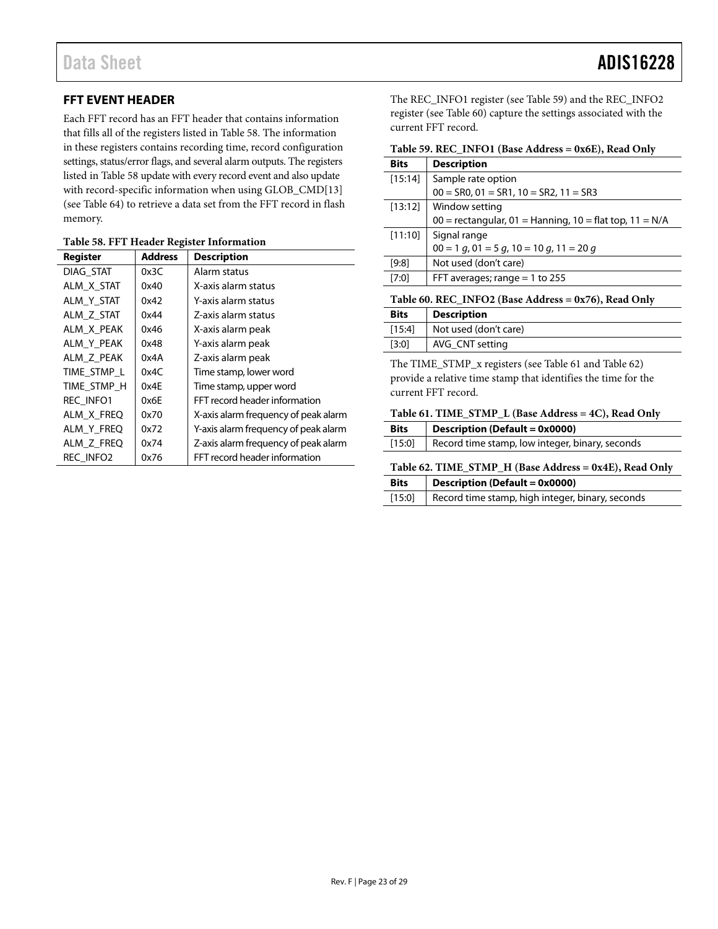# <span id="page-22-0"></span>**FFT EVENT HEADER**

Each FFT record has an FFT header that contains information that fills all of the registers listed i[n Table 58.](#page-22-5) The information in these registers contains recording time, record configuration settings, status/error flags, and several alarm outputs. The registers listed i[n Table 58](#page-22-5) update with every record event and also update with record-specific information when using GLOB\_CMD[13] (see [Table 64\)](#page-23-5) to retrieve a data set from the FFT record in flash memory.

<span id="page-22-5"></span>

| Register         | <b>Address</b> | <b>Description</b>                   |
|------------------|----------------|--------------------------------------|
| DIAG STAT        | 0x3C           | Alarm status                         |
| ALM X STAT       | 0x40           | X-axis alarm status                  |
| ALM_Y_STAT       | 0x42           | Y-axis alarm status                  |
| ALM Z STAT       | 0x44           | Z-axis alarm status                  |
| ALM_X_PEAK       | 0x46           | X-axis alarm peak                    |
| ALM Y PEAK       | 0x48           | Y-axis alarm peak                    |
| ALM Z PEAK       | 0x4A           | Z-axis alarm peak                    |
| TIME STMP L      | 0x4C           | Time stamp, lower word               |
| TIME STMP H      | 0x4E           | Time stamp, upper word               |
| <b>REC INFO1</b> | 0x6E           | FFT record header information        |
| ALM X FREQ       | 0x70           | X-axis alarm frequency of peak alarm |
| ALM Y FREQ       | 0x72           | Y-axis alarm frequency of peak alarm |
| ALM Z FREQ       | 0x74           | Z-axis alarm frequency of peak alarm |
| REC_INFO2        | 0x76           | FFT record header information        |

The REC\_INFO1 register (see [Table 59\)](#page-22-3) and the REC\_INFO2 register (se[e Table 60\)](#page-22-4) capture the settings associated with the current FFT record.

<span id="page-22-3"></span>

| <b>Bits</b> | <b>Description</b>                                        |
|-------------|-----------------------------------------------------------|
| $[15:14]$   | Sample rate option                                        |
|             | $00 = SR0$ , $01 = SR1$ , $10 = SR2$ , $11 = SR3$         |
| [13:12]     | Window setting                                            |
|             | $00 =$ rectangular, 01 = Hanning, 10 = flat top, 11 = N/A |
| [11:10]     | Signal range                                              |
|             | $00 = 1$ g, $01 = 5$ g, $10 = 10$ g, $11 = 20$ g          |
| [9:8]       | Not used (don't care)                                     |
| $[7:0]$     | FFT averages; range $= 1$ to 255                          |
|             |                                                           |

<span id="page-22-4"></span>**Table 60. REC\_INFO2 (Base Address = 0x76), Read Only**

| <b>Bits</b> | <b>Description</b>    |
|-------------|-----------------------|
| [15:4]      | Not used (don't care) |
| [3:0]       | AVG CNT setting       |

The TIME\_STMP\_x registers (se[e Table 61](#page-22-1) an[d Table 62\)](#page-22-2) provide a relative time stamp that identifies the time for the current FFT record.

#### <span id="page-22-1"></span>**Table 61. TIME\_STMP\_L (Base Address = 4C), Read Only**

| <b>Bits</b> | <b>Description (Default = 0x0000)</b>           |
|-------------|-------------------------------------------------|
| [15:0]      | Record time stamp, low integer, binary, seconds |

### <span id="page-22-2"></span>**Table 62. TIME\_STMP\_H (Base Address = 0x4E), Read Only**

| <b>Bits</b> | <b>Description (Default = 0x0000)</b>                   |
|-------------|---------------------------------------------------------|
|             | [15:0] Record time stamp, high integer, binary, seconds |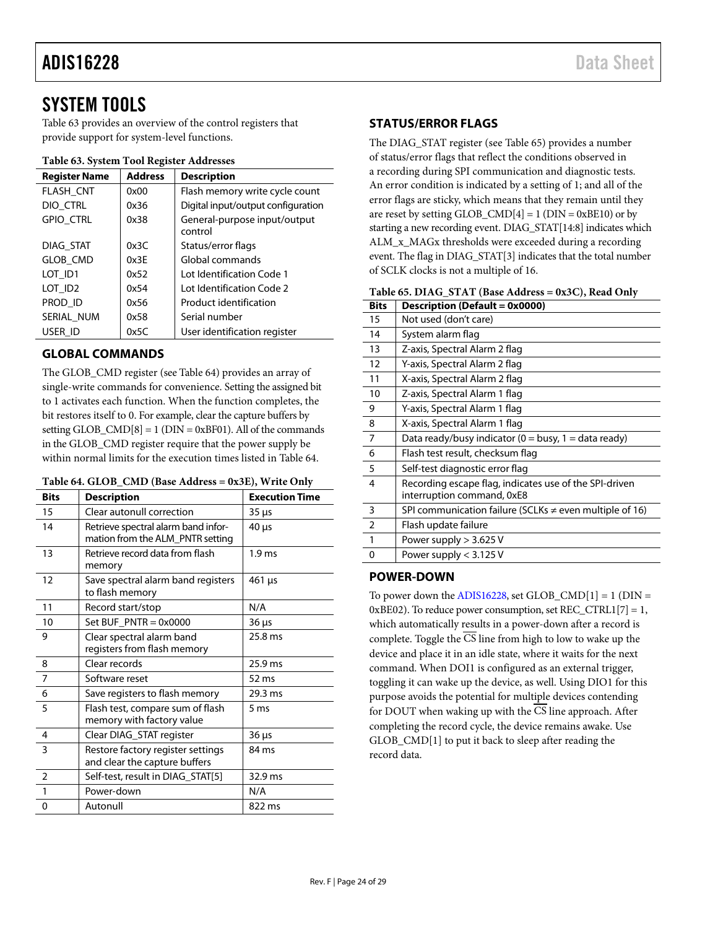# <span id="page-23-0"></span>SYSTEM TOOLS

[Table 63](#page-23-6) provides an overview of the control registers that provide support for system-level functions.

#### <span id="page-23-6"></span>**Table 63. System Tool Register Addresses**

| <b>Register Name</b> | <b>Address</b> | <b>Description</b>                      |
|----------------------|----------------|-----------------------------------------|
| <b>FLASH CNT</b>     | 0x00           | Flash memory write cycle count          |
| DIO CTRL             | 0x36           | Digital input/output configuration      |
| GPIO_CTRL            | 0x38           | General-purpose input/output<br>control |
| DIAG STAT            | 0x3C           | Status/error flags                      |
| GLOB_CMD             | 0x3F           | Global commands                         |
| LOT ID1              | 0x52           | Lot Identification Code 1               |
| LOT ID <sub>2</sub>  | 0x54           | Lot Identification Code 2               |
| PROD ID              | 0x56           | Product identification                  |
| SERIAL NUM           | 0x58           | Serial number                           |
| USER ID              | 0x5C           | User identification register            |

# <span id="page-23-1"></span>**GLOBAL COMMANDS**

The GLOB\_CMD register (se[e Table 64\)](#page-23-5) provides an array of single-write commands for convenience. Setting the assigned bit to 1 activates each function. When the function completes, the bit restores itself to 0. For example, clear the capture buffers by setting GLOB\_CMD $[8] = 1$  (DIN = 0xBF01). All of the commands in the GLOB\_CMD register require that the power supply be within normal limits for the execution times listed i[n Table 64.](#page-23-5) 

<span id="page-23-5"></span>

|  |  |  | Table 64. GLOB_CMD (Base Address = 0x3E), Write Only |
|--|--|--|------------------------------------------------------|
|--|--|--|------------------------------------------------------|

| <b>Bits</b>    | <b>Description</b>                                                      | <b>Execution Time</b> |
|----------------|-------------------------------------------------------------------------|-----------------------|
| 15             | Clear autonull correction                                               | $35 \mu s$            |
| 14             | Retrieve spectral alarm band infor-<br>mation from the ALM_PNTR setting | $40 \mu s$            |
| 13             | Retrieve record data from flash<br>memory                               | 1.9 <sub>ms</sub>     |
| 12             | Save spectral alarm band registers<br>to flash memory                   | $461 \,\mu s$         |
| 11             | Record start/stop                                                       | N/A                   |
| 10             | Set BUF $PNTR = 0x0000$                                                 | 36 µs                 |
| 9              | Clear spectral alarm band<br>registers from flash memory                | 25.8 ms               |
| 8              | Clear records                                                           | $25.9$ ms             |
| $\overline{7}$ | Software reset                                                          | 52 ms                 |
| 6              | Save registers to flash memory                                          | 29.3 ms               |
| 5              | Flash test, compare sum of flash<br>memory with factory value           | 5 <sub>ms</sub>       |
| $\overline{4}$ | Clear DIAG_STAT register                                                | $36 \mu s$            |
| 3              | Restore factory register settings<br>and clear the capture buffers      | 84 ms                 |
| $\mathfrak{D}$ | Self-test, result in DIAG STAT[5]                                       | 32.9 ms               |
| 1              | Power-down                                                              | N/A                   |
| 0              | Autonull                                                                | 822 ms                |

# <span id="page-23-2"></span>**STATUS/ERROR FLAGS**

The DIAG\_STAT register (see [Table 65\)](#page-23-4) provides a number of status/error flags that reflect the conditions observed in a recording during SPI communication and diagnostic tests. An error condition is indicated by a setting of 1; and all of the error flags are sticky, which means that they remain until they are reset by setting GLOB\_CMD $[4] = 1$  (DIN = 0xBE10) or by starting a new recording event. DIAG\_STAT[14:8] indicates which ALM\_x\_MAGx thresholds were exceeded during a recording event. The flag in DIAG\_STAT[3] indicates that the total number of SCLK clocks is not a multiple of 16.

<span id="page-23-4"></span>

| <b>Bits</b>    | Description (Default = 0x0000)                                                       |
|----------------|--------------------------------------------------------------------------------------|
| 15             | Not used (don't care)                                                                |
| 14             | System alarm flag                                                                    |
| 13             | Z-axis, Spectral Alarm 2 flag                                                        |
| 12             | Y-axis, Spectral Alarm 2 flag                                                        |
| 11             | X-axis, Spectral Alarm 2 flag                                                        |
| 10             | Z-axis, Spectral Alarm 1 flag                                                        |
| 9              | Y-axis, Spectral Alarm 1 flag                                                        |
| 8              | X-axis, Spectral Alarm 1 flag                                                        |
| 7              | Data ready/busy indicator (0 = busy, 1 = data ready)                                 |
| 6              | Flash test result, checksum flag                                                     |
| 5              | Self-test diagnostic error flag                                                      |
| 4              | Recording escape flag, indicates use of the SPI-driven<br>interruption command, 0xE8 |
| 3              | SPI communication failure (SCLKs $\neq$ even multiple of 16)                         |
| $\overline{2}$ | Flash update failure                                                                 |
| 1              | Power supply > 3.625 V                                                               |
| 0              | Power supply $< 3.125$ V                                                             |
|                |                                                                                      |

# <span id="page-23-3"></span>**POWER-DOWN**

To power down the  $ADIS16228$ , set  $GLOB\_CMD[1] = 1$  ( $DIN =$ 0xBE02). To reduce power consumption, set  $REC_CTRL1[7] = 1$ , which automatically results in a power-down after a record is complete. Toggle the CS line from high to low to wake up the device and place it in an idle state, where it waits for the next command. When DOI1 is configured as an external trigger, toggling it can wake up the device, as well. Using DIO1 for this purpose avoids the potential for multiple devices contending for DOUT when waking up with the CS line approach. After completing the record cycle, the device remains awake. Use GLOB\_CMD[1] to put it back to sleep after reading the record data.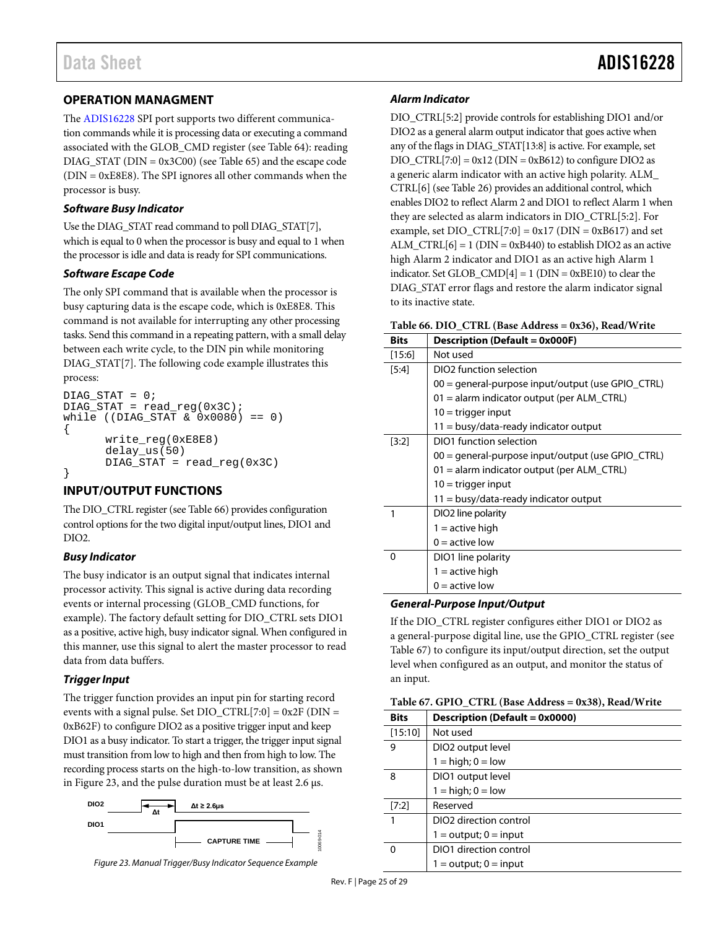# Data Sheet **ADIS16228**

# <span id="page-24-0"></span>**OPERATION MANAGMENT**

The [ADIS16228](http://www.analog.com/adis16228?doc=ADIS16228.pdf) SPI port supports two different communication commands while it is processing data or executing a command associated with the GLOB\_CMD register (see [Table 64\)](#page-23-5): reading DIAG\_STAT (DIN = 0x3C00) (see [Table 65\)](#page-23-4) and the escape code  $(DIN = 0xE8E8)$ . The SPI ignores all other commands when the processor is busy.

### *Software Busy Indicator*

Use the DIAG\_STAT read command to poll DIAG\_STAT[7], which is equal to 0 when the processor is busy and equal to 1 when the processor is idle and data is ready for SPI communications.

### *Software Escape Code*

The only SPI command that is available when the processor is busy capturing data is the escape code, which is 0xE8E8. This command is not available for interrupting any other processing tasks. Send this command in a repeating pattern, with a small delay between each write cycle, to the DIN pin while monitoring DIAG\_STAT[7]. The following code example illustrates this process:

```
DIAG STAT = 0;DIAG_STAT = read\_reg(0x3C);while ((DIAG_STAT & 0x0080) == 0)
{
      write_reg(0xE8E8)
      delay_us(50)
      DIAG_STAT = read_reg(0x3C)
}
```
# <span id="page-24-1"></span>**INPUT/OUTPUT FUNCTIONS**

The DIO\_CTRL register (see [Table 66\)](#page-24-2) provides configuration control options for the two digital input/output lines, DIO1 and DIO2.

# *Busy Indicator*

The busy indicator is an output signal that indicates internal processor activity. This signal is active during data recording events or internal processing (GLOB\_CMD functions, for example). The factory default setting for DIO\_CTRL sets DIO1 as a positive, active high, busy indicator signal. When configured in this manner, use this signal to alert the master processor to read data from data buffers.

# *TriggerInput*

The trigger function provides an input pin for starting record events with a signal pulse. Set DIO  $CTRL[7:0] = 0x2F$  (DIN = 0xB62F) to configure DIO2 as a positive trigger input and keep DIO1 as a busy indicator. To start a trigger, the trigger input signal must transition from low to high and then from high to low. The recording process starts on the high-to-low transition, as shown in [Figure 23,](#page-24-4) and the pulse duration must be at least 2.6 µs.



<span id="page-24-4"></span>*Figure 23. Manual Trigger/Busy Indicator Sequence Example* 

# *Alarm Indicator*

DIO\_CTRL[5:2] provide controls for establishing DIO1 and/or DIO2 as a general alarm output indicator that goes active when any of the flags in DIAG\_STAT[13:8] is active. For example, set  $DIO_CTRL[7:0] = 0x12$  ( $DIN = 0xB612$ ) to configure  $DIO2$  as a generic alarm indicator with an active high polarity. ALM\_ CTRL[6] (se[e Table 26\)](#page-17-3) provides an additional control, which enables DIO2 to reflect Alarm 2 and DIO1 to reflect Alarm 1 when they are selected as alarm indicators in DIO\_CTRL[5:2]. For example, set  $DIO_CTRL[7:0] = 0x17$  ( $DIN = 0xB617$ ) and set ALM\_CTRL $[6] = 1$  (DIN = 0xB440) to establish DIO2 as an active high Alarm 2 indicator and DIO1 as an active high Alarm 1 indicator. Set GLOB\_CMD $[4] = 1$  (DIN = 0xBE10) to clear the DIAG\_STAT error flags and restore the alarm indicator signal to its inactive state.

<span id="page-24-2"></span>

|  |  | Table 66. DIO_CTRL (Base Address = 0x36), Read/Write |  |  |  |
|--|--|------------------------------------------------------|--|--|--|
|--|--|------------------------------------------------------|--|--|--|

| <b>Bits</b> | <b>Description (Default = 0x000F)</b>             |
|-------------|---------------------------------------------------|
| $[15:6]$    | Not used                                          |
| [5:4]       | DIO <sub>2</sub> function selection               |
|             | 00 = general-purpose input/output (use GPIO_CTRL) |
|             | 01 = alarm indicator output (per ALM_CTRL)        |
|             | $10 =$ trigger input                              |
|             | $11 = \text{busy/data-ready indicator output}$    |
| [3:2]       | DIO1 function selection                           |
|             | 00 = general-purpose input/output (use GPIO_CTRL) |
|             | 01 = alarm indicator output (per ALM_CTRL)        |
|             | $10 =$ trigger input                              |
|             | 11 = busy/data-ready indicator output             |
|             | DIO2 line polarity                                |
|             | 1 = active high                                   |
|             | $0 =$ active low                                  |
| 0           | DIO1 line polarity                                |
|             | $1 =$ active high                                 |
|             | $0 =$ active low                                  |

#### *General-Purpose Input/Output*

If the DIO\_CTRL register configures either DIO1 or DIO2 as a general-purpose digital line, use the GPIO\_CTRL register (see [Table 67\)](#page-24-3) to configure its input/output direction, set the output level when configured as an output, and monitor the status of an input.

#### <span id="page-24-3"></span>**Table 67. GPIO\_CTRL (Base Address = 0x38), Read/Write**

| <b>Bits</b> | <b>Description (Default = 0x0000)</b> |
|-------------|---------------------------------------|
| [15:10]     | Not used                              |
| 9           | DIO <sub>2</sub> output level         |
|             | $1 = high$ ; $0 = low$                |
| 8           | DIO1 output level                     |
|             | $1 = high$ ; $0 = low$                |
| [7:2]       | Reserved                              |
| 1           | DIO <sub>2</sub> direction control    |
|             | $1 =$ output; $0 =$ input             |
| O           | DIO1 direction control                |
|             | $1 =$ output; $0 =$ input             |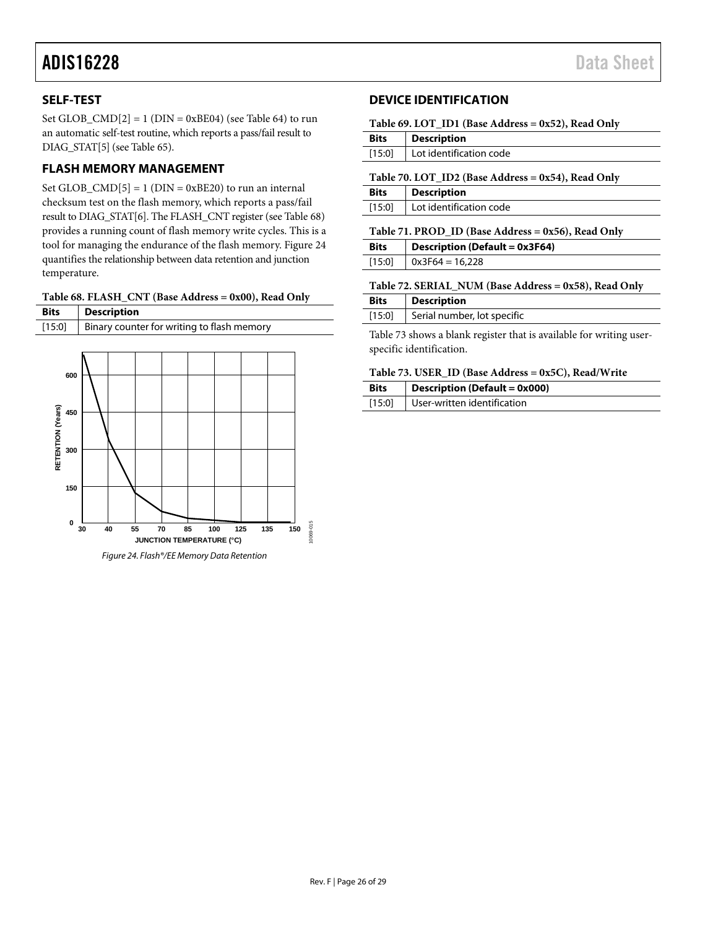# <span id="page-25-0"></span>**SELF-TEST**

**150**

<span id="page-25-3"></span> $\begin{array}{c|c}\n0 & 30 & 40\n\end{array}$ 

Set GLOB\_CMD $[2] = 1$  (DIN = 0xBE04) (se[e Table 64\)](#page-23-5) to run an automatic self-test routine, which reports a pass/fail result to DIAG\_STAT[5] (se[e Table 65\)](#page-23-4).

# <span id="page-25-1"></span>**FLASH MEMORY MANAGEMENT**

Set GLOB\_CMD $[5] = 1$  (DIN = 0xBE20) to run an internal checksum test on the flash memory, which reports a pass/fail result to DIAG\_STAT[6]. The FLASH\_CNT register (se[e Table 68\)](#page-25-4) provides a running count of flash memory write cycles. This is a tool for managing the endurance of the flash memory[. Figure 24](#page-25-3) quantifies the relationship between data retention and junction temperature.

<span id="page-25-4"></span>

|  | Table 68. FLASH_CNT (Base Address = 0x00), Read Only |  |
|--|------------------------------------------------------|--|
|--|------------------------------------------------------|--|

|                   | $\cdots$                                   |
|-------------------|--------------------------------------------|
| <b>Bits</b>       | <b>Description</b>                         |
| [15:0]            | Binary counter for writing to flash memory |
|                   |                                            |
|                   |                                            |
| 600               |                                            |
|                   |                                            |
|                   |                                            |
| 450               |                                            |
|                   |                                            |
| 300               |                                            |
| RETENTION (Years) |                                            |
|                   |                                            |

**JUNCTION TEMPERATURE (°C)**

*Figure 24. Flash®/EE Memory Data Retention*

**55 70 85 100 125 135 150**

10069-015

1069-015

# <span id="page-25-2"></span>**DEVICE IDENTIFICATION**

<span id="page-25-5"></span>

| Table 69. LOT_ID1 (Base Address = 0x52), Read Only |  |  |  |  |  |
|----------------------------------------------------|--|--|--|--|--|
|----------------------------------------------------|--|--|--|--|--|

| <b>Bits</b> | <b>Description</b>                  |
|-------------|-------------------------------------|
|             | [15:0]   Lot identification code    |
|             | - - - - - - - -<br>-- - - - - - - - |

<span id="page-25-6"></span>**Table 70. LOT\_ID2 (Base Address = 0x54), Read Only**

| <b>Bits</b> | <b>Description</b>             |  |
|-------------|--------------------------------|--|
|             | [15:0] Lot identification code |  |
|             |                                |  |

#### <span id="page-25-7"></span>**Table 71. PROD\_ID (Base Address = 0x56), Read Only**

| <b>Bits</b> | <b>Description (Default = 0x3F64)</b> |  |
|-------------|---------------------------------------|--|
|             | $[15:0]$ 0x3F64 = 16,228              |  |

### <span id="page-25-8"></span>**Table 72. SERIAL\_NUM (Base Address = 0x58), Read Only**

| <b>Bits</b> | Description                 |
|-------------|-----------------------------|
| [15:0]      | Serial number, lot specific |

[Table 73](#page-25-9) shows a blank register that is available for writing userspecific identification.

#### <span id="page-25-9"></span>**Table 73. USER\_ID (Base Address = 0x5C), Read/Write**

| <b>Bits</b> | <b>Description (Default = 0x000)</b> |  |
|-------------|--------------------------------------|--|
| [15:0]      | User-written identification          |  |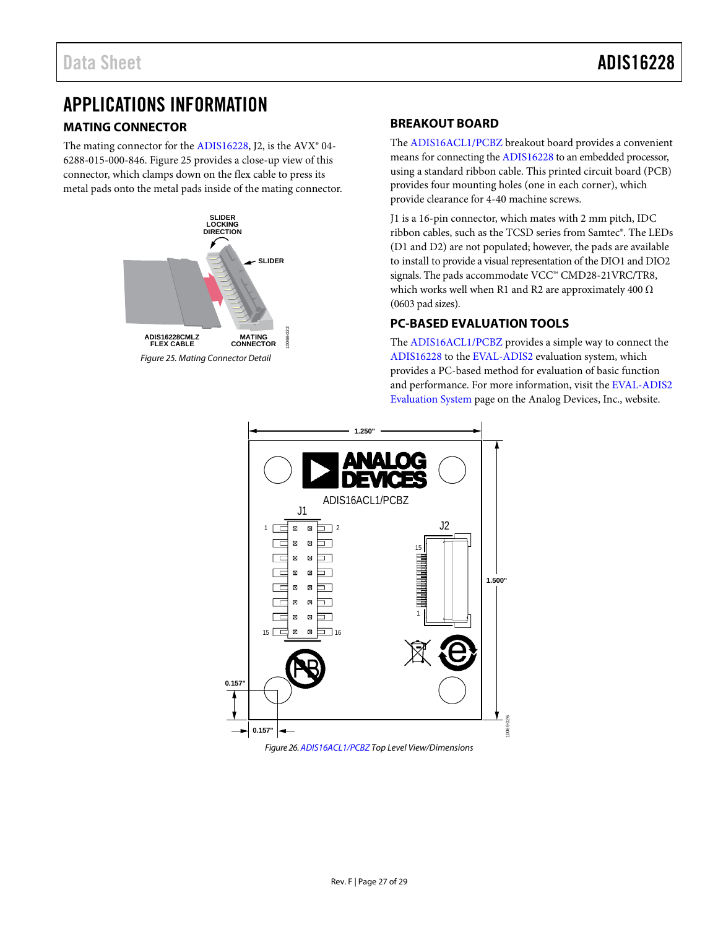# <span id="page-26-0"></span>APPLICATIONS INFORMATION

# <span id="page-26-1"></span>**MATING CONNECTOR**

The mating connector for the [ADIS16228,](http://www.analog.com/adis16228?doc=ADIS16228.pdf) J2, is the AVX<sup>®</sup> 04-6288-015-000-846[. Figure 25](#page-26-4) provides a close-up view of this connector, which clamps down on the flex cable to press its metal pads onto the metal pads inside of the mating connector.

<span id="page-26-4"></span>

# <span id="page-26-2"></span>**BREAKOUT BOARD**

The [ADIS16ACL1/PCBZ](http://www.analog.com/EVAL-ADIS16ACL1?doc=ADIS16228.pdf) breakout board provides a convenient means for connecting th[e ADIS16228](http://www.analog.com/adis16228?doc=ADIS16228.pdf) to an embedded processor, using a standard ribbon cable. This printed circuit board (PCB) provides four mounting holes (one in each corner), which provide clearance for 4-40 machine screws.

J1 is a 16-pin connector, which mates with 2 mm pitch, IDC ribbon cables, such as the TCSD series from Samtec®. The LEDs (D1 and D2) are not populated; however, the pads are available to install to provide a visual representation of the DIO1 and DIO2 signals. The pads accommodate VCC™ CMD28-21VRC/TR8, which works well when R1 and R2 are approximately 400  $\Omega$ (0603 pad sizes).

# <span id="page-26-3"></span>**PC-BASED EVALUATION TOOLS**

The [ADIS16ACL1/PCBZ](http://www.analog.com/EVAL-ADIS16ACL1?doc=ADIS16228.pdf) provides a simple way to connect the [ADIS16228](http://www.analog.com/adis16228?doc=ADIS16228.pdf) to the [EVAL-ADIS2](http://www.analog.com/eval-adis2-wiki-guide?doc=ADIS16228.pdf) evaluation system, which provides a PC-based method for evaluation of basic function and performance. For more information, visit the [EVAL-ADIS2](http://www.analog.com/eval-adis2-wiki-guide?doc=ADIS16228.pdf)  [Evaluation System](http://www.analog.com/eval-adis2-wiki-guide?doc=ADIS16228.pdf) page on the Analog Devices, Inc., website.



*Figure 26[. ADIS16ACL1/PCBZ](http://www.analog.com/EVAL-ADIS16ACL1?doc=ADIS16228.pdf) Top Level View/Dimensions*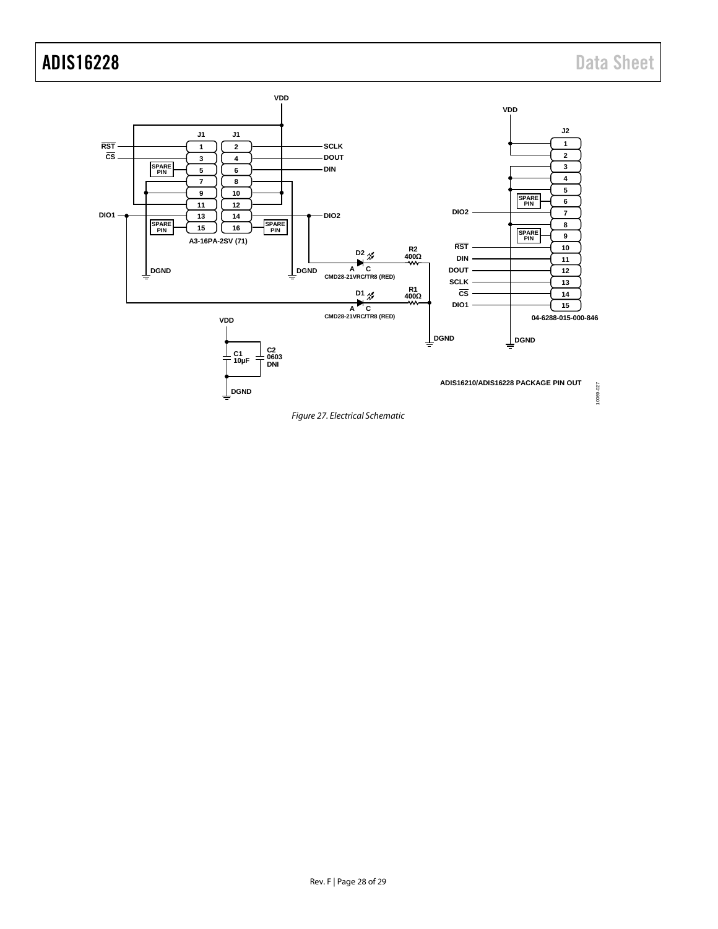# ADIS16228 Data Sheet



*Figure 27. Electrical Schematic*